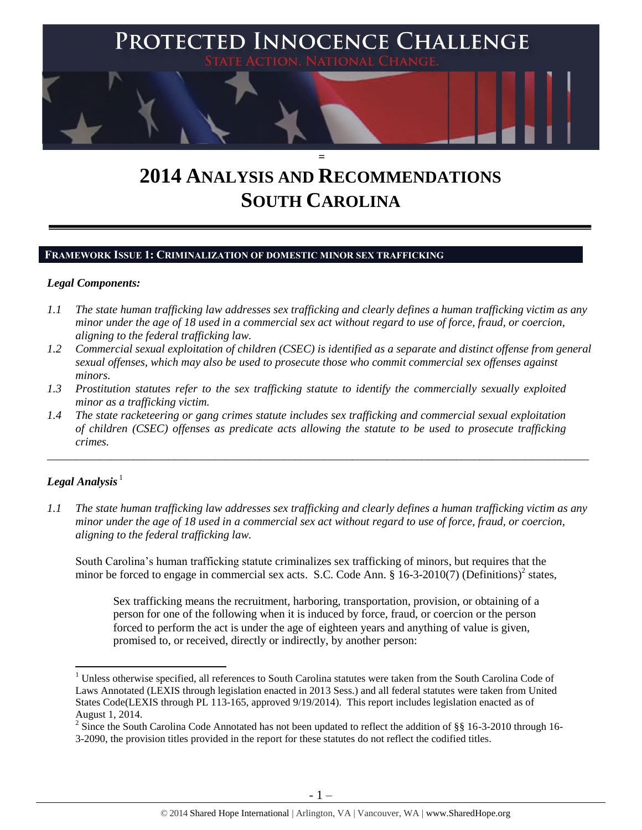

# **2014 ANALYSIS AND RECOMMENDATIONS SOUTH CAROLINA**

# **FRAMEWORK ISSUE 1: CRIMINALIZATION OF DOMESTIC MINOR SEX TRAFFICKING**

### *Legal Components:*

- *1.1 The state human trafficking law addresses sex trafficking and clearly defines a human trafficking victim as any minor under the age of 18 used in a commercial sex act without regard to use of force, fraud, or coercion, aligning to the federal trafficking law.*
- *1.2 Commercial sexual exploitation of children (CSEC) is identified as a separate and distinct offense from general sexual offenses, which may also be used to prosecute those who commit commercial sex offenses against minors.*
- *1.3 Prostitution statutes refer to the sex trafficking statute to identify the commercially sexually exploited minor as a trafficking victim.*
- *1.4 The state racketeering or gang crimes statute includes sex trafficking and commercial sexual exploitation of children (CSEC) offenses as predicate acts allowing the statute to be used to prosecute trafficking crimes.*

# ${\bm L}$ egal Analysis  $^1$

l

*1.1 The state human trafficking law addresses sex trafficking and clearly defines a human trafficking victim as any minor under the age of 18 used in a commercial sex act without regard to use of force, fraud, or coercion, aligning to the federal trafficking law.*

\_\_\_\_\_\_\_\_\_\_\_\_\_\_\_\_\_\_\_\_\_\_\_\_\_\_\_\_\_\_\_\_\_\_\_\_\_\_\_\_\_\_\_\_\_\_\_\_\_\_\_\_\_\_\_\_\_\_\_\_\_\_\_\_\_\_\_\_\_\_\_\_\_\_\_\_\_\_\_\_\_\_\_\_\_\_\_\_\_\_\_\_\_\_

South Carolina's human trafficking statute criminalizes sex trafficking of minors, but requires that the minor be forced to engage in commercial sex acts. S.C. Code Ann. § 16-3-2010(7) (Definitions)<sup>2</sup> states,

Sex trafficking means the recruitment, harboring, transportation, provision, or obtaining of a person for one of the following when it is induced by force, fraud, or coercion or the person forced to perform the act is under the age of eighteen years and anything of value is given, promised to, or received, directly or indirectly, by another person:

<sup>&</sup>lt;sup>1</sup> Unless otherwise specified, all references to South Carolina statutes were taken from the South Carolina Code of Laws Annotated (LEXIS through legislation enacted in 2013 Sess.) and all federal statutes were taken from United States Code(LEXIS through PL 113-165, approved 9/19/2014). This report includes legislation enacted as of August 1, 2014.

<sup>&</sup>lt;sup>2</sup> Since the South Carolina Code Annotated has not been updated to reflect the addition of §§ 16-3-2010 through 16-3-2090, the provision titles provided in the report for these statutes do not reflect the codified titles.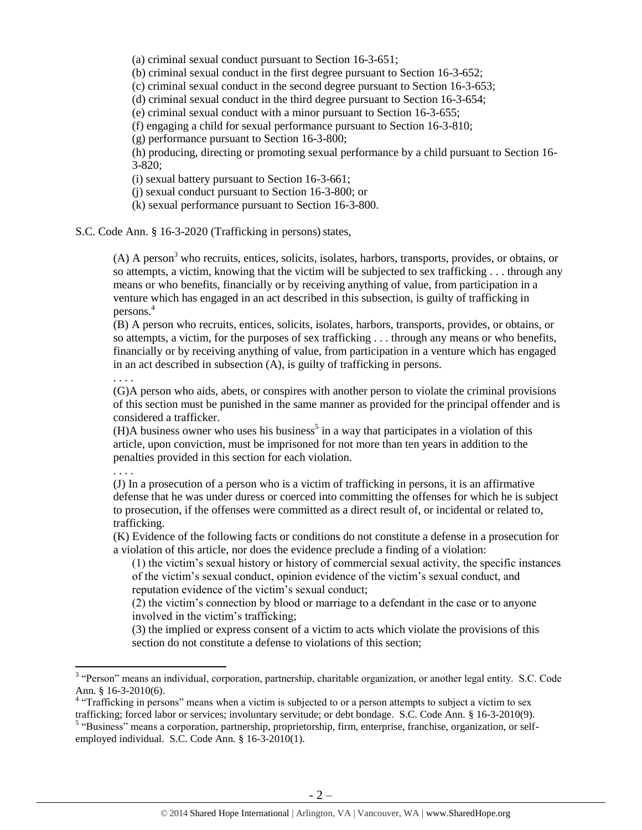(a) criminal sexual conduct pursuant to Section 16-3-651;

(b) criminal sexual conduct in the first degree pursuant to Section 16-3-652;

(c) criminal sexual conduct in the second degree pursuant to Section 16-3-653;

(d) criminal sexual conduct in the third degree pursuant to Section 16-3-654;

(e) criminal sexual conduct with a minor pursuant to Section 16-3-655;

(f) engaging a child for sexual performance pursuant to Section 16-3-810;

(g) performance pursuant to Section 16-3-800;

(h) producing, directing or promoting sexual performance by a child pursuant to Section 16- 3-820;

(i) sexual battery pursuant to Section 16-3-661;

(j) sexual conduct pursuant to Section 16-3-800; or

(k) sexual performance pursuant to Section 16-3-800.

S.C. Code Ann. § 16-3-2020 (Trafficking in persons) states,

 $(A)$  A person<sup>3</sup> who recruits, entices, solicits, isolates, harbors, transports, provides, or obtains, or so attempts, a victim, knowing that the victim will be subjected to sex trafficking . . . through any means or who benefits, financially or by receiving anything of value, from participation in a venture which has engaged in an act described in this subsection, is guilty of trafficking in persons.<sup>4</sup>

(B) A person who recruits, entices, solicits, isolates, harbors, transports, provides, or obtains, or so attempts, a victim, for the purposes of sex trafficking . . . through any means or who benefits, financially or by receiving anything of value, from participation in a venture which has engaged in an act described in subsection (A), is guilty of trafficking in persons.

. . . .

(G)A person who aids, abets, or conspires with another person to violate the criminal provisions of this section must be punished in the same manner as provided for the principal offender and is considered a trafficker.

 $(H)$ A business owner who uses his business<sup>5</sup> in a way that participates in a violation of this article, upon conviction, must be imprisoned for not more than ten years in addition to the penalties provided in this section for each violation.

. . . .

l

(J) In a prosecution of a person who is a victim of trafficking in persons, it is an affirmative defense that he was under duress or coerced into committing the offenses for which he is subject to prosecution, if the offenses were committed as a direct result of, or incidental or related to, trafficking.

(K) Evidence of the following facts or conditions do not constitute a defense in a prosecution for a violation of this article, nor does the evidence preclude a finding of a violation:

(1) the victim's sexual history or history of commercial sexual activity, the specific instances of the victim's sexual conduct, opinion evidence of the victim's sexual conduct, and reputation evidence of the victim's sexual conduct;

(2) the victim's connection by blood or marriage to a defendant in the case or to anyone involved in the victim's trafficking;

(3) the implied or express consent of a victim to acts which violate the provisions of this section do not constitute a defense to violations of this section;

<sup>&</sup>lt;sup>3</sup> "Person" means an individual, corporation, partnership, charitable organization, or another legal entity. S.C. Code Ann. § 16-3-2010(6).

<sup>&</sup>lt;sup>4</sup> "Trafficking in persons" means when a victim is subjected to or a person attempts to subject a victim to sex trafficking; forced labor or services; involuntary servitude; or debt bondage. S.C. Code Ann. § 16-3-2010(9).

<sup>&</sup>lt;sup>5</sup> "Business" means a corporation, partnership, proprietorship, firm, enterprise, franchise, organization, or selfemployed individual. S.C. Code Ann. § 16-3-2010(1).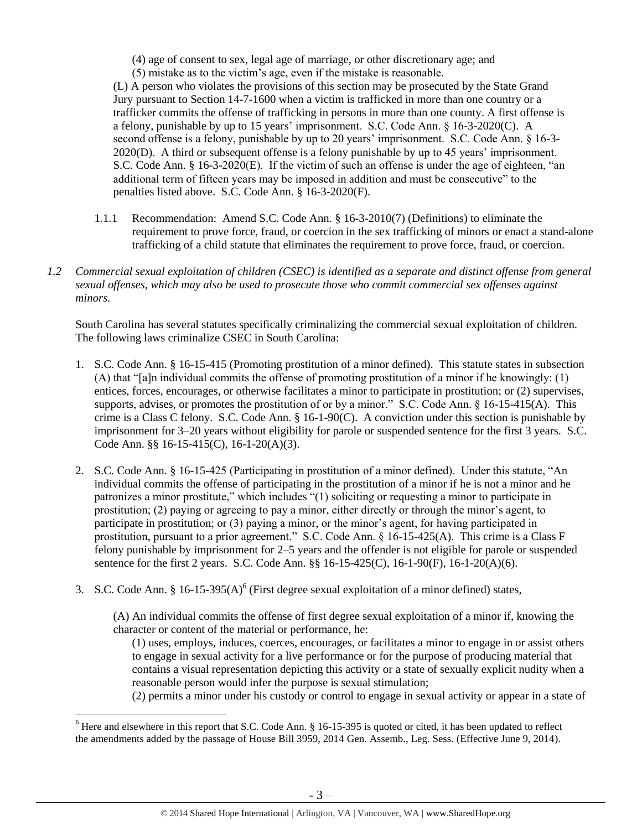(4) age of consent to sex, legal age of marriage, or other discretionary age; and

(5) mistake as to the victim's age, even if the mistake is reasonable.

(L) A person who violates the provisions of this section may be prosecuted by the State Grand Jury pursuant to Section 14-7-1600 when a victim is trafficked in more than one country or a trafficker commits the offense of trafficking in persons in more than one county. A first offense is a felony, punishable by up to 15 years' imprisonment. S.C. Code Ann. § 16-3-2020(C). A second offense is a felony, punishable by up to 20 years' imprisonment. S.C. Code Ann. § 16-3-2020(D). A third or subsequent offense is a felony punishable by up to 45 years' imprisonment. S.C. Code Ann. § 16-3-2020(E). If the victim of such an offense is under the age of eighteen, "an additional term of fifteen years may be imposed in addition and must be consecutive" to the penalties listed above. S.C. Code Ann. § 16-3-2020(F).

- 1.1.1 Recommendation: Amend S.C. Code Ann. § 16-3-2010(7) (Definitions) to eliminate the requirement to prove force, fraud, or coercion in the sex trafficking of minors or enact a stand-alone trafficking of a child statute that eliminates the requirement to prove force, fraud, or coercion.
- *1.2 Commercial sexual exploitation of children (CSEC) is identified as a separate and distinct offense from general sexual offenses, which may also be used to prosecute those who commit commercial sex offenses against minors.*

South Carolina has several statutes specifically criminalizing the commercial sexual exploitation of children. The following laws criminalize CSEC in South Carolina:

- 1. S.C. Code Ann. § 16-15-415 (Promoting prostitution of a minor defined). This statute states in subsection (A) that "[a]n individual commits the offense of promoting prostitution of a minor if he knowingly: (1) entices, forces, encourages, or otherwise facilitates a minor to participate in prostitution; or (2) supervises, supports, advises, or promotes the prostitution of or by a minor." S.C. Code Ann. § 16-15-415(A). This crime is a Class C felony. S.C. Code Ann. § 16-1-90(C). A conviction under this section is punishable by imprisonment for 3–20 years without eligibility for parole or suspended sentence for the first 3 years. S.C. Code Ann. §§ 16-15-415(C), 16-1-20(A)(3).
- 2. S.C. Code Ann. § 16-15-425 (Participating in prostitution of a minor defined). Under this statute, "An individual commits the offense of participating in the prostitution of a minor if he is not a minor and he patronizes a minor prostitute," which includes "(1) soliciting or requesting a minor to participate in prostitution; (2) paying or agreeing to pay a minor, either directly or through the minor's agent, to participate in prostitution; or (3) paying a minor, or the minor's agent, for having participated in prostitution, pursuant to a prior agreement." S.C. Code Ann. § 16-15-425(A). This crime is a Class F felony punishable by imprisonment for 2–5 years and the offender is not eligible for parole or suspended sentence for the first 2 years. S.C. Code Ann. §§ 16-15-425(C), 16-1-90(F), 16-1-20(A)(6).
- 3. S.C. Code Ann. § 16-15-395(A)<sup>6</sup> (First degree sexual exploitation of a minor defined) states,

(A) An individual commits the offense of first degree sexual exploitation of a minor if, knowing the character or content of the material or performance, he:

(1) uses, employs, induces, coerces, encourages, or facilitates a minor to engage in or assist others to engage in sexual activity for a live performance or for the purpose of producing material that contains a visual representation depicting this activity or a state of sexually explicit nudity when a reasonable person would infer the purpose is sexual stimulation;

(2) permits a minor under his custody or control to engage in sexual activity or appear in a state of

<sup>&</sup>lt;sup>6</sup> Here and elsewhere in this report that S.C. Code Ann. § 16-15-395 is quoted or cited, it has been updated to reflect the amendments added by the passage of House Bill 3959, 2014 Gen. Assemb., Leg. Sess. (Effective June 9, 2014).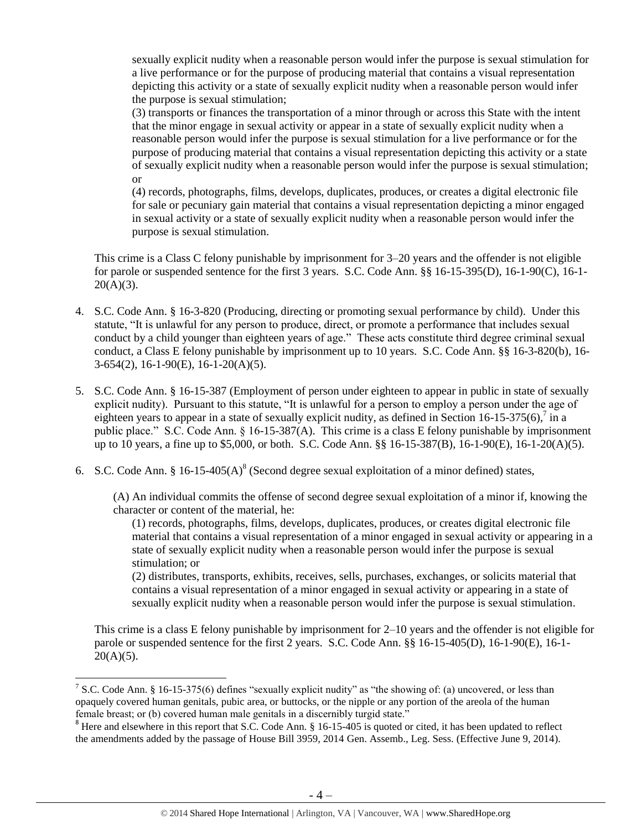sexually explicit nudity when a reasonable person would infer the purpose is sexual stimulation for a live performance or for the purpose of producing material that contains a visual representation depicting this activity or a state of sexually explicit nudity when a reasonable person would infer the purpose is sexual stimulation;

(3) transports or finances the transportation of a minor through or across this State with the intent that the minor engage in sexual activity or appear in a state of sexually explicit nudity when a reasonable person would infer the purpose is sexual stimulation for a live performance or for the purpose of producing material that contains a visual representation depicting this activity or a state of sexually explicit nudity when a reasonable person would infer the purpose is sexual stimulation; or

(4) records, photographs, films, develops, duplicates, produces, or creates a digital electronic file for sale or pecuniary gain material that contains a visual representation depicting a minor engaged in sexual activity or a state of sexually explicit nudity when a reasonable person would infer the purpose is sexual stimulation.

This crime is a Class C felony punishable by imprisonment for 3–20 years and the offender is not eligible for parole or suspended sentence for the first 3 years. S.C. Code Ann. §§ 16-15-395(D), 16-1-90(C), 16-1-  $20(A)(3)$ .

- 4. S.C. Code Ann. § 16-3-820 (Producing, directing or promoting sexual performance by child). Under this statute, "It is unlawful for any person to produce, direct, or promote a performance that includes sexual conduct by a child younger than eighteen years of age." These acts constitute third degree criminal sexual conduct, a Class E felony punishable by imprisonment up to 10 years. S.C. Code Ann. §§ 16-3-820(b), 16- 3-654(2), 16-1-90(E), 16-1-20(A)(5).
- 5. S.C. Code Ann. § 16-15-387 (Employment of person under eighteen to appear in public in state of sexually explicit nudity). Pursuant to this statute, "It is unlawful for a person to employ a person under the age of eighteen years to appear in a state of sexually explicit nudity, as defined in Section 16-15-375(6),  $\frac{7}{1}$  in a public place." S.C. Code Ann. § 16-15-387(A). This crime is a class E felony punishable by imprisonment up to 10 years, a fine up to \$5,000, or both. S.C. Code Ann. §§ 16-15-387(B), 16-1-90(E), 16-1-20(A)(5).
- 6. S.C. Code Ann. § 16-15-405(A)<sup>8</sup> (Second degree sexual exploitation of a minor defined) states,

(A) An individual commits the offense of second degree sexual exploitation of a minor if, knowing the character or content of the material, he:

<span id="page-3-0"></span>(1) records, photographs, films, develops, duplicates, produces, or creates digital electronic file material that contains a visual representation of a minor engaged in sexual activity or appearing in a state of sexually explicit nudity when a reasonable person would infer the purpose is sexual stimulation; or

(2) distributes, transports, exhibits, receives, sells, purchases, exchanges, or solicits material that contains a visual representation of a minor engaged in sexual activity or appearing in a state of sexually explicit nudity when a reasonable person would infer the purpose is sexual stimulation.

This crime is a class E felony punishable by imprisonment for 2–10 years and the offender is not eligible for parole or suspended sentence for the first 2 years. S.C. Code Ann. §§ 16-15-405(D), 16-1-90(E), 16-1-  $20(A)(5)$ .

 $\overline{a}$ 

<sup>&</sup>lt;sup>7</sup> S.C. Code Ann. § 16-15-375(6) defines "sexually explicit nudity" as "the showing of: (a) uncovered, or less than opaquely covered human genitals, pubic area, or buttocks, or the nipple or any portion of the areola of the human female breast; or (b) covered human male genitals in a discernibly turgid state."

 $8$  Here and elsewhere in this report that S.C. Code Ann.  $\S$  16-15-405 is quoted or cited, it has been updated to reflect the amendments added by the passage of House Bill 3959, 2014 Gen. Assemb., Leg. Sess. (Effective June 9, 2014).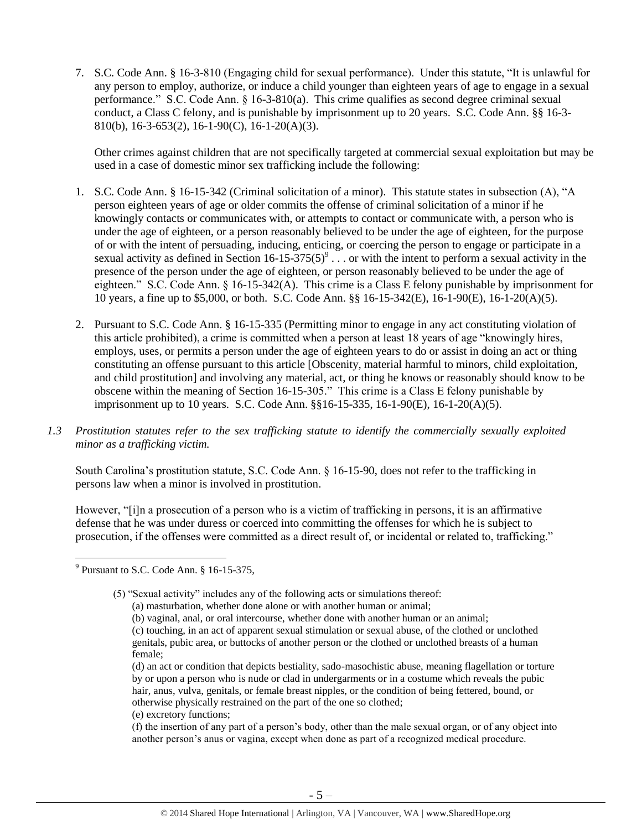7. S.C. Code Ann. § 16-3-810 (Engaging child for sexual performance). Under this statute, "It is unlawful for any person to employ, authorize, or induce a child younger than eighteen years of age to engage in a sexual performance." S.C. Code Ann. § 16-3-810(a). This crime qualifies as second degree criminal sexual conduct, a Class C felony, and is punishable by imprisonment up to 20 years. S.C. Code Ann. §§ 16-3- 810(b), 16-3-653(2), 16-1-90(C), 16-1-20(A)(3).

<span id="page-4-0"></span>Other crimes against children that are not specifically targeted at commercial sexual exploitation but may be used in a case of domestic minor sex trafficking include the following:

- 1. S.C. Code Ann. § 16-15-342 (Criminal solicitation of a minor). This statute states in subsection (A), "A person eighteen years of age or older commits the offense of criminal solicitation of a minor if he knowingly contacts or communicates with, or attempts to contact or communicate with, a person who is under the age of eighteen, or a person reasonably believed to be under the age of eighteen, for the purpose of or with the intent of persuading, inducing, enticing, or coercing the person to engage or participate in a sexual activity as defined in Section 16-15-375(5)<sup>9</sup>... or with the intent to perform a sexual activity in the presence of the person under the age of eighteen, or person reasonably believed to be under the age of eighteen." S.C. Code Ann. § 16-15-342(A). This crime is a Class E felony punishable by imprisonment for 10 years, a fine up to \$5,000, or both. S.C. Code Ann. §§ 16-15-342(E), 16-1-90(E), 16-1-20(A)(5).
- 2. Pursuant to S.C. Code Ann. § 16-15-335 (Permitting minor to engage in any act constituting violation of this article prohibited), a crime is committed when a person at least 18 years of age "knowingly hires, employs, uses, or permits a person under the age of eighteen years to do or assist in doing an act or thing constituting an offense pursuant to this article [Obscenity, material harmful to minors, child exploitation, and child prostitution] and involving any material, act, or thing he knows or reasonably should know to be obscene within the meaning of Section 16-15-305." This crime is a Class E felony punishable by imprisonment up to 10 years. S.C. Code Ann. §§16-15-335, 16-1-90(E), 16-1-20(A)(5).
- *1.3 Prostitution statutes refer to the sex trafficking statute to identify the commercially sexually exploited minor as a trafficking victim.*

South Carolina's prostitution statute, S.C. Code Ann. § 16-15-90, does not refer to the trafficking in persons law when a minor is involved in prostitution.

However, "[i]n a prosecution of a person who is a victim of trafficking in persons, it is an affirmative defense that he was under duress or coerced into committing the offenses for which he is subject to prosecution, if the offenses were committed as a direct result of, or incidental or related to, trafficking."

 $\overline{a}$ 

(e) excretory functions;

<sup>&</sup>lt;sup>9</sup> Pursuant to S.C. Code Ann. § 16-15-375,

<sup>(5) &</sup>quot;Sexual activity" includes any of the following acts or simulations thereof:

<sup>(</sup>a) masturbation, whether done alone or with another human or animal;

<sup>(</sup>b) vaginal, anal, or oral intercourse, whether done with another human or an animal; (c) touching, in an act of apparent sexual stimulation or sexual abuse, of the clothed or unclothed genitals, pubic area, or buttocks of another person or the clothed or unclothed breasts of a human female;

<sup>(</sup>d) an act or condition that depicts bestiality, sado-masochistic abuse, meaning flagellation or torture by or upon a person who is nude or clad in undergarments or in a costume which reveals the pubic hair, anus, vulva, genitals, or female breast nipples, or the condition of being fettered, bound, or otherwise physically restrained on the part of the one so clothed;

<sup>(</sup>f) the insertion of any part of a person's body, other than the male sexual organ, or of any object into another person's anus or vagina, except when done as part of a recognized medical procedure.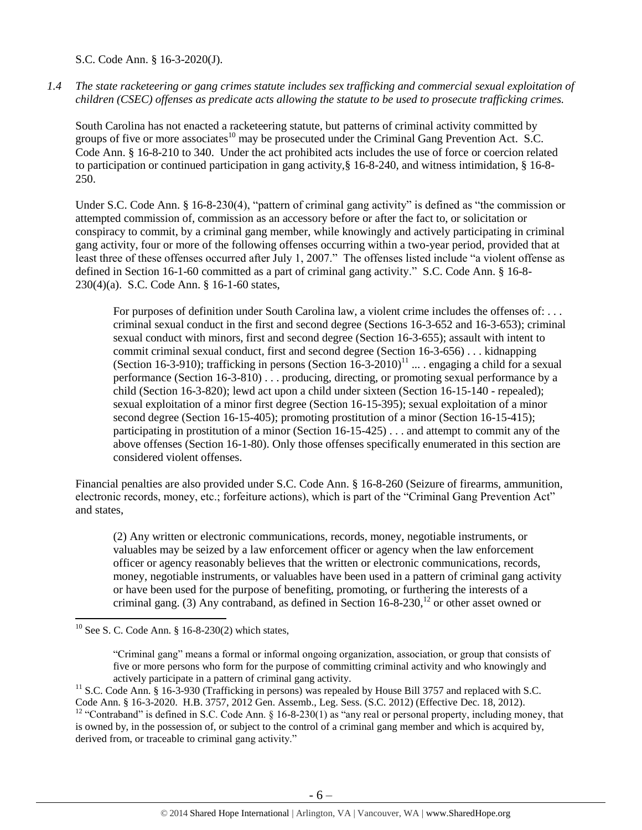S.C. Code Ann. § 16-3-2020(J).

*1.4 The state racketeering or gang crimes statute includes sex trafficking and commercial sexual exploitation of children (CSEC) offenses as predicate acts allowing the statute to be used to prosecute trafficking crimes.* 

South Carolina has not enacted a racketeering statute, but patterns of criminal activity committed by groups of five or more associates<sup>10</sup> may be prosecuted under the Criminal Gang Prevention Act. S.C. Code Ann. § 16-8-210 to 340. Under the act prohibited acts includes the use of force or coercion related to participation or continued participation in gang activity,§ 16-8-240, and witness intimidation, § 16-8- 250.

Under S.C. Code Ann. § 16-8-230(4), "pattern of criminal gang activity" is defined as "the commission or attempted commission of, commission as an accessory before or after the fact to, or solicitation or conspiracy to commit, by a criminal gang member, while knowingly and actively participating in criminal gang activity, four or more of the following offenses occurring within a two-year period, provided that at least three of these offenses occurred after July 1, 2007." The offenses listed include "a violent offense as defined in Section 16-1-60 committed as a part of criminal gang activity." S.C. Code Ann. § 16-8- 230(4)(a). S.C. Code Ann. § 16-1-60 states,

<span id="page-5-0"></span>For purposes of definition under South Carolina law, a violent crime includes the offenses of: ... criminal sexual conduct in the first and second degree (Sections 16-3-652 and 16-3-653); criminal sexual conduct with minors, first and second degree (Section 16-3-655); assault with intent to commit criminal sexual conduct, first and second degree (Section 16-3-656) . . . kidnapping (Section 16-3-910); trafficking in persons (Section  $16$ -3-2010)<sup>11</sup> ... . engaging a child for a sexual performance (Section 16-3-810) . . . producing, directing, or promoting sexual performance by a child (Section 16-3-820); lewd act upon a child under sixteen (Section 16-15-140 - repealed); sexual exploitation of a minor first degree (Section 16-15-395); sexual exploitation of a minor second degree (Section 16-15-405); promoting prostitution of a minor (Section 16-15-415); participating in prostitution of a minor (Section 16-15-425) . . . and attempt to commit any of the above offenses (Section 16-1-80). Only those offenses specifically enumerated in this section are considered violent offenses.

Financial penalties are also provided under S.C. Code Ann. § 16-8-260 (Seizure of firearms, ammunition, electronic records, money, etc.; forfeiture actions), which is part of the "Criminal Gang Prevention Act" and states,

(2) Any written or electronic communications, records, money, negotiable instruments, or valuables may be seized by a law enforcement officer or agency when the law enforcement officer or agency reasonably believes that the written or electronic communications, records, money, negotiable instruments, or valuables have been used in a pattern of criminal gang activity or have been used for the purpose of benefiting, promoting, or furthering the interests of a criminal gang. (3) Any contraband, as defined in Section  $16-8-230$ ,  $12$  or other asset owned or

 $10$  See S. C. Code Ann. § 16-8-230(2) which states,

<sup>&</sup>quot;Criminal gang" means a formal or informal ongoing organization, association, or group that consists of five or more persons who form for the purpose of committing criminal activity and who knowingly and actively participate in a pattern of criminal gang activity.

<sup>&</sup>lt;sup>11</sup> S.C. Code Ann. § 16-3-930 (Trafficking in persons) was repealed by House Bill 3757 and replaced with S.C. Code Ann. § 16-3-2020. H.B. 3757, 2012 Gen. Assemb., Leg. Sess. (S.C. 2012) (Effective Dec. 18, 2012).

<sup>&</sup>lt;sup>12</sup> "Contraband" is defined in S.C. Code Ann. § 16-8-230(1) as "any real or personal property, including money, that is owned by, in the possession of, or subject to the control of a criminal gang member and which is acquired by, derived from, or traceable to criminal gang activity."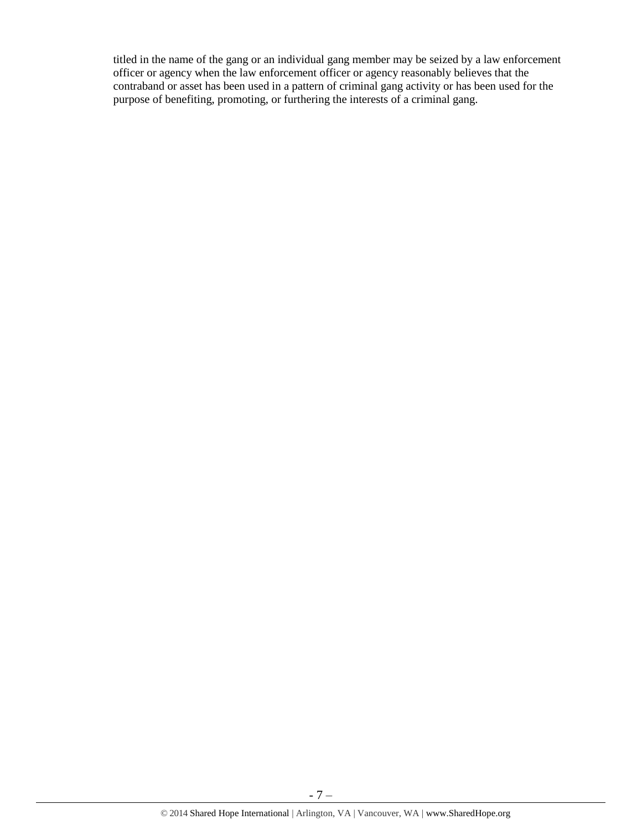titled in the name of the gang or an individual gang member may be seized by a law enforcement officer or agency when the law enforcement officer or agency reasonably believes that the contraband or asset has been used in a pattern of criminal gang activity or has been used for the purpose of benefiting, promoting, or furthering the interests of a criminal gang.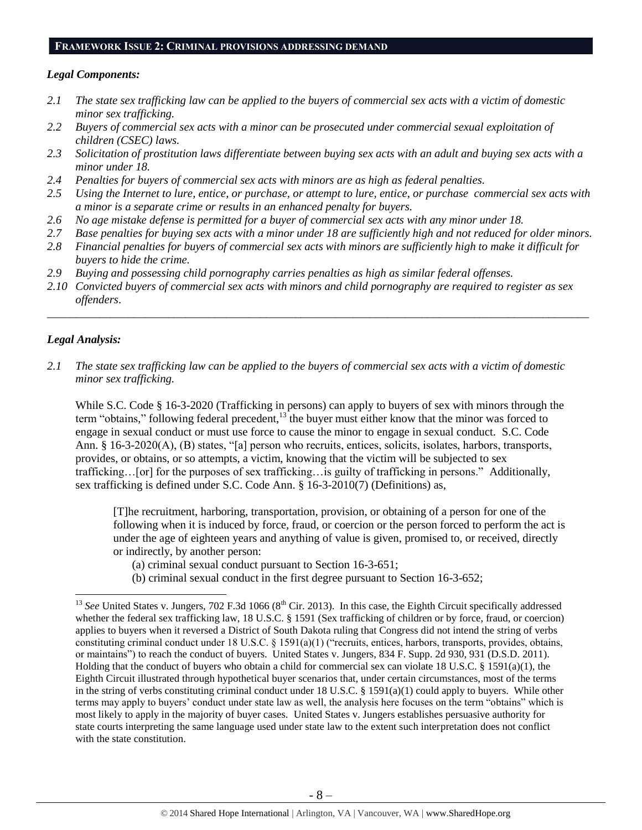# **FRAMEWORK ISSUE 2: CRIMINAL PROVISIONS ADDRESSING DEMAND**

# *Legal Components:*

- *2.1 The state sex trafficking law can be applied to the buyers of commercial sex acts with a victim of domestic minor sex trafficking.*
- *2.2 Buyers of commercial sex acts with a minor can be prosecuted under commercial sexual exploitation of children (CSEC) laws.*
- *2.3 Solicitation of prostitution laws differentiate between buying sex acts with an adult and buying sex acts with a minor under 18.*
- *2.4 Penalties for buyers of commercial sex acts with minors are as high as federal penalties.*
- *2.5 Using the Internet to lure, entice, or purchase, or attempt to lure, entice, or purchase commercial sex acts with a minor is a separate crime or results in an enhanced penalty for buyers.*
- *2.6 No age mistake defense is permitted for a buyer of commercial sex acts with any minor under 18.*
- *2.7 Base penalties for buying sex acts with a minor under 18 are sufficiently high and not reduced for older minors.*
- *2.8 Financial penalties for buyers of commercial sex acts with minors are sufficiently high to make it difficult for buyers to hide the crime.*
- *2.9 Buying and possessing child pornography carries penalties as high as similar federal offenses.*
- *2.10 Convicted buyers of commercial sex acts with minors and child pornography are required to register as sex offenders*.

\_\_\_\_\_\_\_\_\_\_\_\_\_\_\_\_\_\_\_\_\_\_\_\_\_\_\_\_\_\_\_\_\_\_\_\_\_\_\_\_\_\_\_\_\_\_\_\_\_\_\_\_\_\_\_\_\_\_\_\_\_\_\_\_\_\_\_\_\_\_\_\_\_\_\_\_\_\_\_\_\_\_\_\_\_\_\_\_\_\_\_\_\_\_

# *Legal Analysis:*

l

*2.1 The state sex trafficking law can be applied to the buyers of commercial sex acts with a victim of domestic minor sex trafficking.*

While S.C. Code § 16-3-2020 (Trafficking in persons) can apply to buyers of sex with minors through the term "obtains," following federal precedent,<sup>13</sup> the buyer must either know that the minor was forced to engage in sexual conduct or must use force to cause the minor to engage in sexual conduct. S.C. Code Ann. § 16-3-2020(A), (B) states, "[a] person who recruits, entices, solicits, isolates, harbors, transports, provides, or obtains, or so attempts, a victim, knowing that the victim will be subjected to sex trafficking…[or] for the purposes of sex trafficking…is guilty of trafficking in persons." Additionally, sex trafficking is defined under S.C. Code Ann. § 16-3-2010(7) (Definitions) as,

[T]he recruitment, harboring, transportation, provision, or obtaining of a person for one of the following when it is induced by force, fraud, or coercion or the person forced to perform the act is under the age of eighteen years and anything of value is given, promised to, or received, directly or indirectly, by another person:

(a) criminal sexual conduct pursuant to Section 16-3-651;

(b) criminal sexual conduct in the first degree pursuant to Section 16-3-652;

<sup>&</sup>lt;sup>13</sup> See United States v. Jungers, 702 F.3d 1066 (8<sup>th</sup> Cir. 2013). In this case, the Eighth Circuit specifically addressed whether the federal sex trafficking law, 18 U.S.C. § 1591 (Sex trafficking of children or by force, fraud, or coercion) applies to buyers when it reversed a District of South Dakota ruling that Congress did not intend the string of verbs constituting criminal conduct under 18 U.S.C. § 1591(a)(1) ("recruits, entices, harbors, transports, provides, obtains, or maintains") to reach the conduct of buyers. United States v. Jungers, 834 F. Supp. 2d 930, 931 (D.S.D. 2011). Holding that the conduct of buyers who obtain a child for commercial sex can violate 18 U.S.C. § 1591(a)(1), the Eighth Circuit illustrated through hypothetical buyer scenarios that, under certain circumstances, most of the terms in the string of verbs constituting criminal conduct under 18 U.S.C. § 1591(a)(1) could apply to buyers. While other terms may apply to buyers' conduct under state law as well, the analysis here focuses on the term "obtains" which is most likely to apply in the majority of buyer cases. United States v. Jungers establishes persuasive authority for state courts interpreting the same language used under state law to the extent such interpretation does not conflict with the state constitution.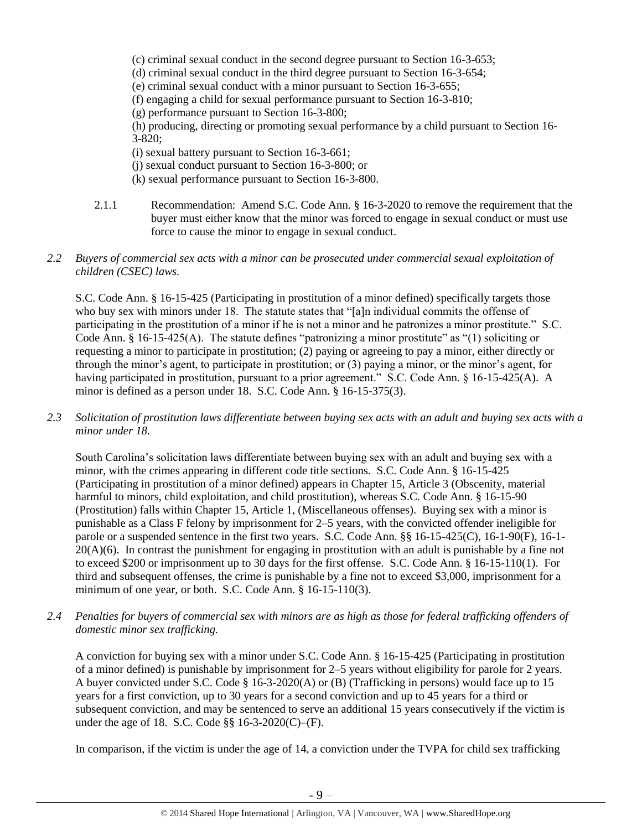(c) criminal sexual conduct in the second degree pursuant to Section 16-3-653;

(d) criminal sexual conduct in the third degree pursuant to Section 16-3-654;

(e) criminal sexual conduct with a minor pursuant to Section 16-3-655;

(f) engaging a child for sexual performance pursuant to Section 16-3-810;

(g) performance pursuant to Section 16-3-800;

(h) producing, directing or promoting sexual performance by a child pursuant to Section 16- 3-820;

- (i) sexual battery pursuant to Section 16-3-661;
- (j) sexual conduct pursuant to Section 16-3-800; or
- (k) sexual performance pursuant to Section 16-3-800.
- 2.1.1 Recommendation: Amend S.C. Code Ann. § 16-3-2020 to remove the requirement that the buyer must either know that the minor was forced to engage in sexual conduct or must use force to cause the minor to engage in sexual conduct.

# *2.2 Buyers of commercial sex acts with a minor can be prosecuted under commercial sexual exploitation of children (CSEC) laws.*

S.C. Code Ann. § 16-15-425 (Participating in prostitution of a minor defined) specifically targets those who buy sex with minors under 18. The statute states that "[a]n individual commits the offense of participating in the prostitution of a minor if he is not a minor and he patronizes a minor prostitute." S.C. Code Ann. § 16-15-425(A). The statute defines "patronizing a minor prostitute" as "(1) soliciting or requesting a minor to participate in prostitution; (2) paying or agreeing to pay a minor, either directly or through the minor's agent, to participate in prostitution; or (3) paying a minor, or the minor's agent, for having participated in prostitution, pursuant to a prior agreement." S.C. Code Ann. § 16-15-425(A). A minor is defined as a person under 18. S.C. Code Ann. § 16-15-375(3).

*2.3 Solicitation of prostitution laws differentiate between buying sex acts with an adult and buying sex acts with a minor under 18.*

South Carolina's solicitation laws differentiate between buying sex with an adult and buying sex with a minor, with the crimes appearing in different code title sections. S.C. Code Ann. § 16-15-425 (Participating in prostitution of a minor defined) appears in Chapter 15, Article 3 (Obscenity, material harmful to minors, child exploitation, and child prostitution), whereas S.C. Code Ann. § 16-15-90 (Prostitution) falls within Chapter 15, Article 1, (Miscellaneous offenses). Buying sex with a minor is punishable as a Class F felony by imprisonment for 2–5 years, with the convicted offender ineligible for parole or a suspended sentence in the first two years. S.C. Code Ann. §§ 16-15-425(C), 16-1-90(F), 16-1-  $20(A)(6)$ . In contrast the punishment for engaging in prostitution with an adult is punishable by a fine not to exceed \$200 or imprisonment up to 30 days for the first offense. S.C. Code Ann. § 16-15-110(1). For third and subsequent offenses, the crime is punishable by a fine not to exceed \$3,000, imprisonment for a minimum of one year, or both. S.C. Code Ann. § 16-15-110(3).

*2.4 Penalties for buyers of commercial sex with minors are as high as those for federal trafficking offenders of domestic minor sex trafficking.*

A conviction for buying sex with a minor under S.C. Code Ann. § 16-15-425 (Participating in prostitution of a minor defined) is punishable by imprisonment for 2–5 years without eligibility for parole for 2 years. A buyer convicted under S.C. Code § 16-3-2020(A) or (B) (Trafficking in persons) would face up to 15 years for a first conviction, up to 30 years for a second conviction and up to 45 years for a third or subsequent conviction, and may be sentenced to serve an additional 15 years consecutively if the victim is under the age of 18. S.C. Code §§ 16-3-2020(C)–(F).

In comparison, if the victim is under the age of 14, a conviction under the TVPA for child sex trafficking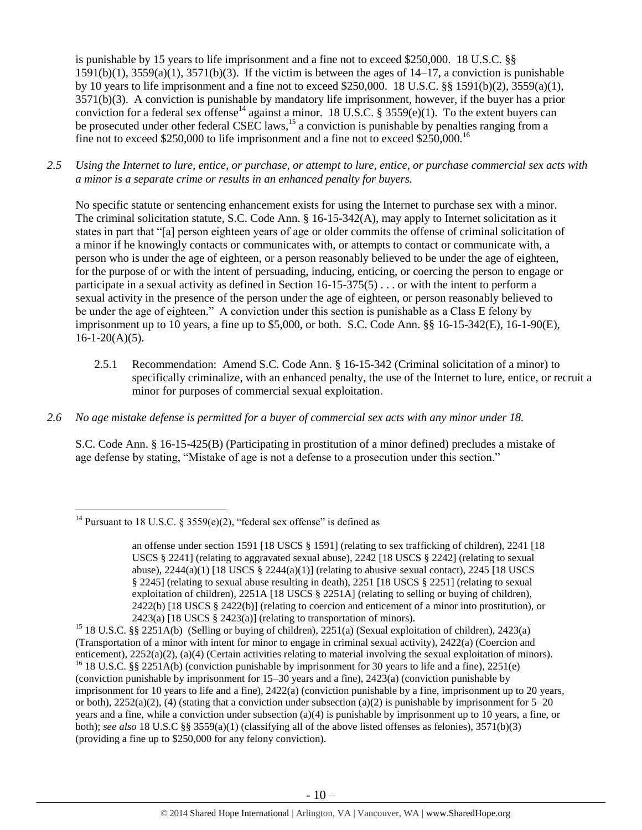<span id="page-9-0"></span>is punishable by 15 years to life imprisonment and a fine not to exceed \$250,000. 18 U.S.C. §§  $1591(b)(1)$ ,  $3559(a)(1)$ ,  $3571(b)(3)$ . If the victim is between the ages of  $14-17$ , a conviction is punishable by 10 years to life imprisonment and a fine not to exceed \$250,000. 18 U.S.C. §§ 1591(b)(2), 3559(a)(1), 3571(b)(3). A conviction is punishable by mandatory life imprisonment, however, if the buyer has a prior conviction for a federal sex offense<sup>14</sup> against a minor. 18 U.S.C. § 3559(e)(1). To the extent buyers can be prosecuted under other federal CSEC laws,<sup>15</sup> a conviction is punishable by penalties ranging from a fine not to exceed \$250,000 to life imprisonment and a fine not to exceed \$250,000.<sup>16</sup>

*2.5 Using the Internet to lure, entice, or purchase, or attempt to lure, entice, or purchase commercial sex acts with a minor is a separate crime or results in an enhanced penalty for buyers.*

No specific statute or sentencing enhancement exists for using the Internet to purchase sex with a minor. The criminal solicitation statute, S.C. Code Ann. § 16-15-342(A), may apply to Internet solicitation as it states in part that "[a] person eighteen years of age or older commits the offense of criminal solicitation of a minor if he knowingly contacts or communicates with, or attempts to contact or communicate with, a person who is under the age of eighteen, or a person reasonably believed to be under the age of eighteen, for the purpose of or with the intent of persuading, inducing, enticing, or coercing the person to engage or participate in a sexual activity as defined in Section 16-15-375(5) . . . or with the intent to perform a sexual activity in the presence of the person under the age of eighteen, or person reasonably believed to be under the age of eighteen." A conviction under this section is punishable as a Class E felony by imprisonment up to 10 years, a fine up to \$5,000, or both. S.C. Code Ann. §§ 16-15-342(E), 16-1-90(E),  $16-1-20(A)(5)$ .

- 2.5.1 Recommendation: Amend S.C. Code Ann. § 16-15-342 (Criminal solicitation of a minor) to specifically criminalize, with an enhanced penalty, the use of the Internet to lure, entice, or recruit a minor for purposes of commercial sexual exploitation.
- *2.6 No age mistake defense is permitted for a buyer of commercial sex acts with any minor under 18.*

S.C. Code Ann. § 16-15-425(B) (Participating in prostitution of a minor defined) precludes a mistake of age defense by stating, "Mistake of age is not a defense to a prosecution under this section."

(providing a fine up to \$250,000 for any felony conviction).

 $\overline{\phantom{a}}$ <sup>14</sup> Pursuant to 18 U.S.C. § 3559(e)(2), "federal sex offense" is defined as

an offense under section 1591 [18 USCS § 1591] (relating to sex trafficking of children), 2241 [18 USCS § 2241] (relating to aggravated sexual abuse), 2242 [18 USCS § 2242] (relating to sexual abuse),  $2244(a)(1)$  [18 USCS §  $2244(a)(1)$ ] (relating to abusive sexual contact),  $2245$  [18 USCS § 2245] (relating to sexual abuse resulting in death), 2251 [18 USCS § 2251] (relating to sexual exploitation of children), 2251A [18 USCS § 2251A] (relating to selling or buying of children), 2422(b) [18 USCS § 2422(b)] (relating to coercion and enticement of a minor into prostitution), or  $2423(a)$  [18 USCS § 2423(a)] (relating to transportation of minors).

<sup>&</sup>lt;sup>15</sup> 18 U.S.C. §§ 2251A(b) (Selling or buying of children), 2251(a) (Sexual exploitation of children), 2423(a) (Transportation of a minor with intent for minor to engage in criminal sexual activity), 2422(a) (Coercion and enticement), 2252(a)(2), (a)(4) (Certain activities relating to material involving the sexual exploitation of minors). <sup>16</sup> 18 U.S.C. §§ 2251A(b) (conviction punishable by imprisonment for 30 years to life and a fine), 2251(e) (conviction punishable by imprisonment for 15–30 years and a fine), 2423(a) (conviction punishable by imprisonment for 10 years to life and a fine), 2422(a) (conviction punishable by a fine, imprisonment up to 20 years, or both),  $2252(a)(2)$ , (4) (stating that a conviction under subsection (a)(2) is punishable by imprisonment for  $5-20$ years and a fine, while a conviction under subsection (a)(4) is punishable by imprisonment up to 10 years, a fine, or both); *see also* 18 U.S.C §§ 3559(a)(1) (classifying all of the above listed offenses as felonies), 3571(b)(3)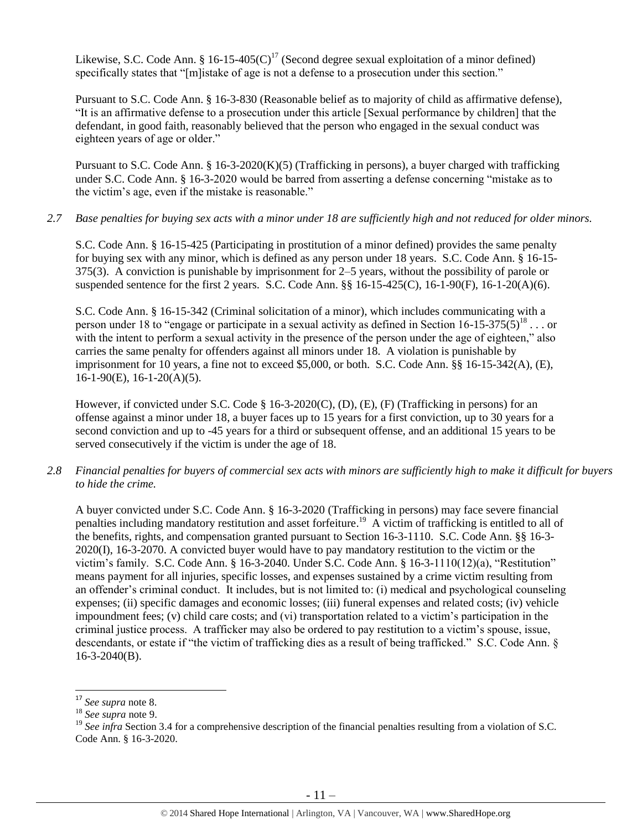Likewise, S.C. Code Ann. § 16-15-405(C)<sup>17</sup> (Second degree sexual exploitation of a minor defined) specifically states that "[m]istake of age is not a defense to a prosecution under this section."

Pursuant to S.C. Code Ann. § 16-3-830 (Reasonable belief as to majority of child as affirmative defense), "It is an affirmative defense to a prosecution under this article [Sexual performance by children] that the defendant, in good faith, reasonably believed that the person who engaged in the sexual conduct was eighteen years of age or older."

Pursuant to S.C. Code Ann. § 16-3-2020(K)(5) (Trafficking in persons), a buyer charged with trafficking under S.C. Code Ann. § 16-3-2020 would be barred from asserting a defense concerning "mistake as to the victim's age, even if the mistake is reasonable."

# *2.7 Base penalties for buying sex acts with a minor under 18 are sufficiently high and not reduced for older minors.*

S.C. Code Ann. § 16-15-425 (Participating in prostitution of a minor defined) provides the same penalty for buying sex with any minor, which is defined as any person under 18 years. S.C. Code Ann. § 16-15- 375(3). A conviction is punishable by imprisonment for 2–5 years, without the possibility of parole or suspended sentence for the first 2 years. S.C. Code Ann. §§ 16-15-425(C), 16-1-90(F), 16-1-20(A)(6).

S.C. Code Ann. § 16-15-342 (Criminal solicitation of a minor), which includes communicating with a person under 18 to "engage or participate in a sexual activity as defined in Section  $16$ -15-375(5)<sup>18</sup>... or with the intent to perform a sexual activity in the presence of the person under the age of eighteen," also carries the same penalty for offenders against all minors under 18. A violation is punishable by imprisonment for 10 years, a fine not to exceed \$5,000, or both. S.C. Code Ann. §§ 16-15-342(A), (E),  $16-1-90(E)$ ,  $16-1-20(A)(5)$ .

However, if convicted under S.C. Code § 16-3-2020(C), (D), (E), (F) (Trafficking in persons) for an offense against a minor under 18, a buyer faces up to 15 years for a first conviction, up to 30 years for a second conviction and up to -45 years for a third or subsequent offense, and an additional 15 years to be served consecutively if the victim is under the age of 18.

*2.8 Financial penalties for buyers of commercial sex acts with minors are sufficiently high to make it difficult for buyers to hide the crime.*

A buyer convicted under S.C. Code Ann. § 16-3-2020 (Trafficking in persons) may face severe financial penalties including mandatory restitution and asset forfeiture.<sup>19</sup> A victim of trafficking is entitled to all of the benefits, rights, and compensation granted pursuant to Section 16-3-1110. S.C. Code Ann. §§ 16-3- 2020(I), 16-3-2070. A convicted buyer would have to pay mandatory restitution to the victim or the victim's family. S.C. Code Ann. § 16-3-2040. Under S.C. Code Ann. § 16-3-1110(12)(a), "Restitution" means payment for all injuries, specific losses, and expenses sustained by a crime victim resulting from an offender's criminal conduct. It includes, but is not limited to: (i) medical and psychological counseling expenses; (ii) specific damages and economic losses; (iii) funeral expenses and related costs; (iv) vehicle impoundment fees;  $(v)$  child care costs; and  $(vi)$  transportation related to a victim's participation in the criminal justice process. A trafficker may also be ordered to pay restitution to a victim's spouse, issue, descendants, or estate if "the victim of trafficking dies as a result of being trafficked." S.C. Code Ann. § 16-3-2040(B).

<sup>17</sup> *See supra* note [8.](#page-3-0)

<sup>18</sup> *See supra* note [9.](#page-4-0)

<sup>&</sup>lt;sup>19</sup> See infra Section 3.4 for a comprehensive description of the financial penalties resulting from a violation of S.C. Code Ann. § 16-3-2020.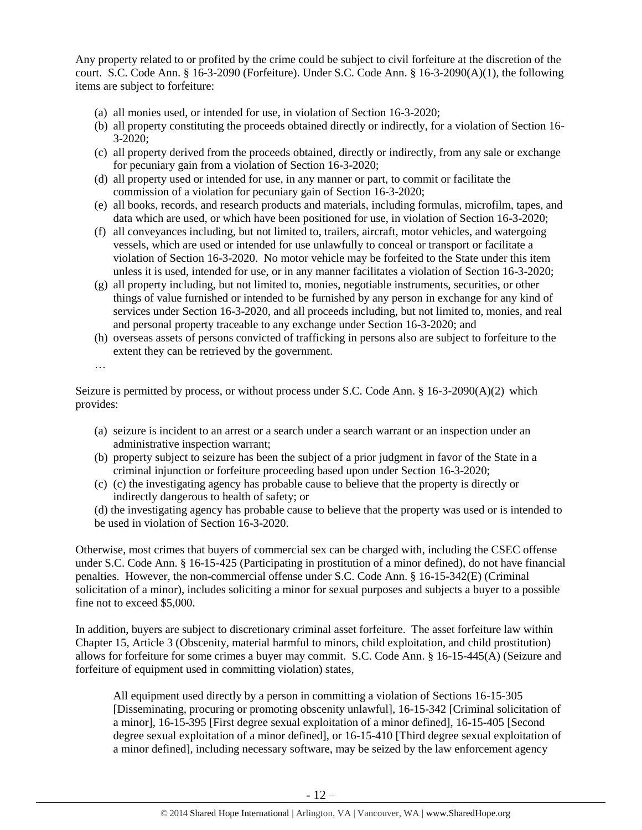Any property related to or profited by the crime could be subject to civil forfeiture at the discretion of the court. S.C. Code Ann. § 16-3-2090 (Forfeiture). Under S.C. Code Ann. § 16-3-2090(A)(1), the following items are subject to forfeiture:

- (a) all monies used, or intended for use, in violation of Section 16-3-2020;
- (b) all property constituting the proceeds obtained directly or indirectly, for a violation of Section 16- 3-2020;
- (c) all property derived from the proceeds obtained, directly or indirectly, from any sale or exchange for pecuniary gain from a violation of Section 16-3-2020;
- (d) all property used or intended for use, in any manner or part, to commit or facilitate the commission of a violation for pecuniary gain of Section 16-3-2020;
- (e) all books, records, and research products and materials, including formulas, microfilm, tapes, and data which are used, or which have been positioned for use, in violation of Section 16-3-2020;
- (f) all conveyances including, but not limited to, trailers, aircraft, motor vehicles, and watergoing vessels, which are used or intended for use unlawfully to conceal or transport or facilitate a violation of Section 16-3-2020. No motor vehicle may be forfeited to the State under this item unless it is used, intended for use, or in any manner facilitates a violation of Section 16-3-2020;
- (g) all property including, but not limited to, monies, negotiable instruments, securities, or other things of value furnished or intended to be furnished by any person in exchange for any kind of services under Section 16-3-2020, and all proceeds including, but not limited to, monies, and real and personal property traceable to any exchange under Section 16-3-2020; and
- (h) overseas assets of persons convicted of trafficking in persons also are subject to forfeiture to the extent they can be retrieved by the government.

…

Seizure is permitted by process, or without process under S.C. Code Ann. § 16-3-2090(A)(2) which provides:

- (a) seizure is incident to an arrest or a search under a search warrant or an inspection under an administrative inspection warrant;
- (b) property subject to seizure has been the subject of a prior judgment in favor of the State in a criminal injunction or forfeiture proceeding based upon under Section 16-3-2020;
- (c) (c) the investigating agency has probable cause to believe that the property is directly or indirectly dangerous to health of safety; or

(d) the investigating agency has probable cause to believe that the property was used or is intended to be used in violation of Section 16-3-2020.

Otherwise, most crimes that buyers of commercial sex can be charged with, including the CSEC offense under S.C. Code Ann. § 16-15-425 (Participating in prostitution of a minor defined), do not have financial penalties. However, the non-commercial offense under S.C. Code Ann. § 16-15-342(E) (Criminal solicitation of a minor), includes soliciting a minor for sexual purposes and subjects a buyer to a possible fine not to exceed \$5,000.

In addition, buyers are subject to discretionary criminal asset forfeiture. The asset forfeiture law within Chapter 15, Article 3 (Obscenity, material harmful to minors, child exploitation, and child prostitution) allows for forfeiture for some crimes a buyer may commit. S.C. Code Ann. § 16-15-445(A) (Seizure and forfeiture of equipment used in committing violation) states,

All equipment used directly by a person in committing a violation of Sections 16-15-305 [Disseminating, procuring or promoting obscenity unlawful], 16-15-342 [Criminal solicitation of a minor], 16-15-395 [First degree sexual exploitation of a minor defined], 16-15-405 [Second degree sexual exploitation of a minor defined], or 16-15-410 [Third degree sexual exploitation of a minor defined], including necessary software, may be seized by the law enforcement agency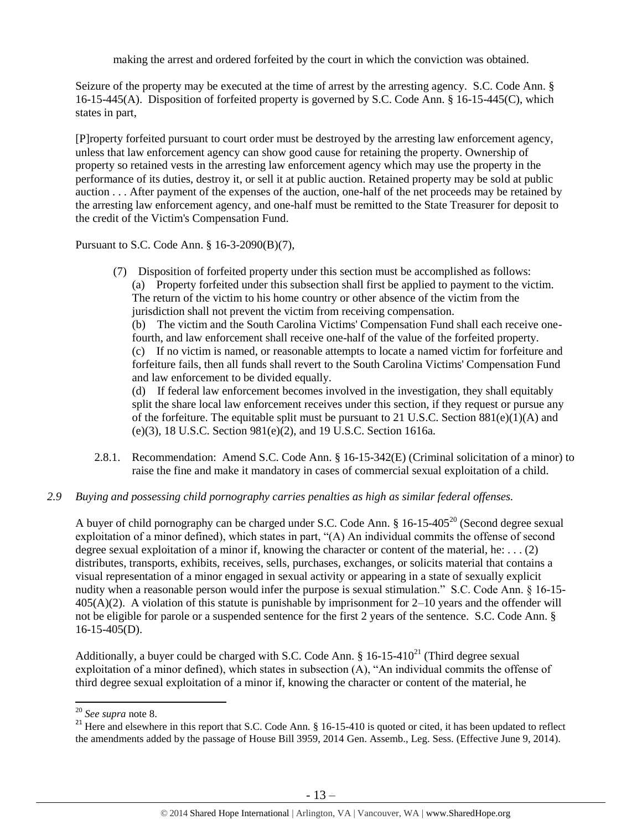making the arrest and ordered forfeited by the court in which the conviction was obtained.

Seizure of the property may be executed at the time of arrest by the arresting agency. S.C. Code Ann. § 16-15-445(A). Disposition of forfeited property is governed by S.C. Code Ann. § 16-15-445(C), which states in part,

[P]roperty forfeited pursuant to court order must be destroyed by the arresting law enforcement agency, unless that law enforcement agency can show good cause for retaining the property. Ownership of property so retained vests in the arresting law enforcement agency which may use the property in the performance of its duties, destroy it, or sell it at public auction. Retained property may be sold at public auction . . . After payment of the expenses of the auction, one-half of the net proceeds may be retained by the arresting law enforcement agency, and one-half must be remitted to the State Treasurer for deposit to the credit of the Victim's Compensation Fund.

Pursuant to S.C. Code Ann. § 16-3-2090(B)(7),

(7) Disposition of forfeited property under this section must be accomplished as follows: (a) Property forfeited under this subsection shall first be applied to payment to the victim. The return of the victim to his home country or other absence of the victim from the jurisdiction shall not prevent the victim from receiving compensation. (b) The victim and the South Carolina Victims' Compensation Fund shall each receive onefourth, and law enforcement shall receive one-half of the value of the forfeited property. (c) If no victim is named, or reasonable attempts to locate a named victim for forfeiture and forfeiture fails, then all funds shall revert to the South Carolina Victims' Compensation Fund and law enforcement to be divided equally. (d) If federal law enforcement becomes involved in the investigation, they shall equitably split the share local law enforcement receives under this section, if they request or pursue any

of the forfeiture. The equitable split must be pursuant to 21 U.S.C. Section  $881(e)(1)(A)$  and (e)(3), 18 U.S.C. Section 981(e)(2), and 19 U.S.C. Section 1616a.

2.8.1. Recommendation: Amend S.C. Code Ann. § 16-15-342(E) (Criminal solicitation of a minor) to raise the fine and make it mandatory in cases of commercial sexual exploitation of a child.

# *2.9 Buying and possessing child pornography carries penalties as high as similar federal offenses.*

A buyer of child pornography can be charged under S.C. Code Ann.  $\S$  16-15-405<sup>20</sup> (Second degree sexual exploitation of a minor defined), which states in part, "(A) An individual commits the offense of second degree sexual exploitation of a minor if, knowing the character or content of the material, he: . . . (2) distributes, transports, exhibits, receives, sells, purchases, exchanges, or solicits material that contains a visual representation of a minor engaged in sexual activity or appearing in a state of sexually explicit nudity when a reasonable person would infer the purpose is sexual stimulation." S.C. Code Ann. § 16-15- 405(A)(2). A violation of this statute is punishable by imprisonment for 2–10 years and the offender will not be eligible for parole or a suspended sentence for the first 2 years of the sentence. S.C. Code Ann. §  $16-15-405(D)$ .

Additionally, a buyer could be charged with S.C. Code Ann.  $\S$  16-15-410<sup>21</sup> (Third degree sexual exploitation of a minor defined), which states in subsection (A), "An individual commits the offense of third degree sexual exploitation of a minor if, knowing the character or content of the material, he

l

<sup>20</sup> *See supra* note [8.](#page-3-0)

<sup>&</sup>lt;sup>21</sup> Here and elsewhere in this report that S.C. Code Ann.  $\S$  16-15-410 is quoted or cited, it has been updated to reflect the amendments added by the passage of House Bill 3959, 2014 Gen. Assemb., Leg. Sess. (Effective June 9, 2014).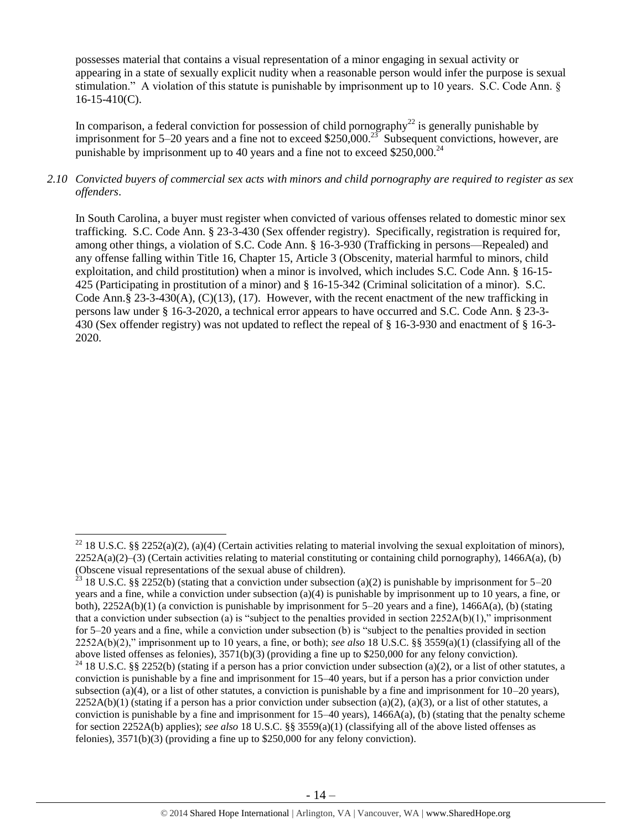possesses material that contains a visual representation of a minor engaging in sexual activity or appearing in a state of sexually explicit nudity when a reasonable person would infer the purpose is sexual stimulation." A violation of this statute is punishable by imprisonment up to 10 years. S.C. Code Ann. §  $16-15-410(C)$ .

In comparison, a federal conviction for possession of child pornography<sup>22</sup> is generally punishable by imprisonment for 5–20 years and a fine not to exceed \$250,000.<sup>23</sup> Subsequent convictions, however, are punishable by imprisonment up to 40 years and a fine not to exceed  $$250,000.<sup>24</sup>$ 

# *2.10 Convicted buyers of commercial sex acts with minors and child pornography are required to register as sex offenders*.

In South Carolina, a buyer must register when convicted of various offenses related to domestic minor sex trafficking. S.C. Code Ann. § 23-3-430 (Sex offender registry). Specifically, registration is required for, among other things, a violation of S.C. Code Ann. § 16-3-930 (Trafficking in persons—Repealed) and any offense falling within Title 16, Chapter 15, Article 3 (Obscenity, material harmful to minors, child exploitation, and child prostitution) when a minor is involved, which includes S.C. Code Ann. § 16-15- 425 (Participating in prostitution of a minor) and § 16-15-342 (Criminal solicitation of a minor). S.C. Code Ann.§ 23-3-430(A),  $(C)(13)$ ,  $(17)$ . However, with the recent enactment of the new trafficking in persons law under § 16-3-2020, a technical error appears to have occurred and S.C. Code Ann. § 23-3- 430 (Sex offender registry) was not updated to reflect the repeal of § 16-3-930 and enactment of § 16-3- 2020.

<sup>&</sup>lt;sup>22</sup> 18 U.S.C. §§ 2252(a)(2), (a)(4) (Certain activities relating to material involving the sexual exploitation of minors),  $2252A(a)(2)$ –(3) (Certain activities relating to material constituting or containing child pornography), 1466A(a), (b) (Obscene visual representations of the sexual abuse of children).

<sup>&</sup>lt;sup>23</sup> 18 U.S.C. §§ 2252(b) (stating that a conviction under subsection (a)(2) is punishable by imprisonment for 5–20 years and a fine, while a conviction under subsection (a)(4) is punishable by imprisonment up to 10 years, a fine, or both), 2252A(b)(1) (a conviction is punishable by imprisonment for 5–20 years and a fine), 1466A(a), (b) (stating that a conviction under subsection (a) is "subject to the penalties provided in section  $2252A(b)(1)$ ," imprisonment for 5–20 years and a fine, while a conviction under subsection (b) is "subject to the penalties provided in section 2252A(b)(2)," imprisonment up to 10 years, a fine, or both); *see also* 18 U.S.C. §§ 3559(a)(1) (classifying all of the above listed offenses as felonies), 3571(b)(3) (providing a fine up to \$250,000 for any felony conviction).

<sup>&</sup>lt;sup>24</sup> 18 U.S.C. §§ 2252(b) (stating if a person has a prior conviction under subsection (a)(2), or a list of other statutes, a conviction is punishable by a fine and imprisonment for 15–40 years, but if a person has a prior conviction under subsection (a)(4), or a list of other statutes, a conviction is punishable by a fine and imprisonment for  $10-20$  years),  $2252A(b)(1)$  (stating if a person has a prior conviction under subsection (a)(2), (a)(3), or a list of other statutes, a conviction is punishable by a fine and imprisonment for  $15-40$  years),  $1466A(a)$ , (b) (stating that the penalty scheme for section 2252A(b) applies); *see also* 18 U.S.C. §§ 3559(a)(1) (classifying all of the above listed offenses as felonies), 3571(b)(3) (providing a fine up to \$250,000 for any felony conviction).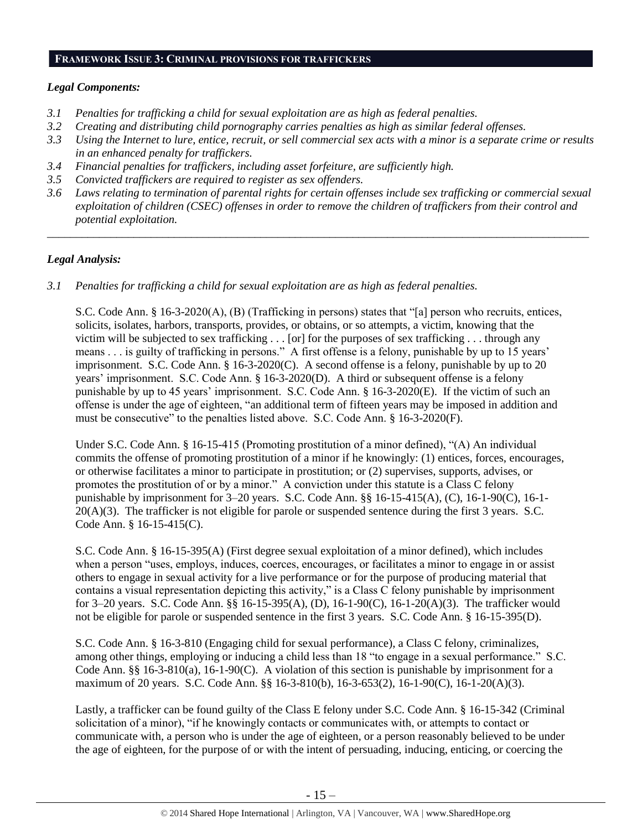## **FRAMEWORK ISSUE 3: CRIMINAL PROVISIONS FOR TRAFFICKERS**

# *Legal Components:*

- *3.1 Penalties for trafficking a child for sexual exploitation are as high as federal penalties.*
- *3.2 Creating and distributing child pornography carries penalties as high as similar federal offenses.*
- *3.3 Using the Internet to lure, entice, recruit, or sell commercial sex acts with a minor is a separate crime or results in an enhanced penalty for traffickers.*
- *3.4 Financial penalties for traffickers, including asset forfeiture, are sufficiently high.*
- *3.5 Convicted traffickers are required to register as sex offenders.*
- *3.6 Laws relating to termination of parental rights for certain offenses include sex trafficking or commercial sexual exploitation of children (CSEC) offenses in order to remove the children of traffickers from their control and potential exploitation.*

*\_\_\_\_\_\_\_\_\_\_\_\_\_\_\_\_\_\_\_\_\_\_\_\_\_\_\_\_\_\_\_\_\_\_\_\_\_\_\_\_\_\_\_\_\_\_\_\_\_\_\_\_\_\_\_\_\_\_\_\_\_\_\_\_\_\_\_\_\_\_\_\_\_\_\_\_\_\_\_\_\_\_\_\_\_\_\_\_\_\_\_\_\_\_*

# *Legal Analysis:*

*3.1 Penalties for trafficking a child for sexual exploitation are as high as federal penalties.* 

S.C. Code Ann. § 16-3-2020(A), (B) (Trafficking in persons) states that "[a] person who recruits, entices, solicits, isolates, harbors, transports, provides, or obtains, or so attempts, a victim, knowing that the victim will be subjected to sex trafficking . . . [or] for the purposes of sex trafficking . . . through any means . . . is guilty of trafficking in persons." A first offense is a felony, punishable by up to 15 years' imprisonment. S.C. Code Ann. § 16-3-2020(C). A second offense is a felony, punishable by up to 20 years' imprisonment. S.C. Code Ann. § 16-3-2020(D). A third or subsequent offense is a felony punishable by up to 45 years' imprisonment. S.C. Code Ann. § 16-3-2020(E). If the victim of such an offense is under the age of eighteen, "an additional term of fifteen years may be imposed in addition and must be consecutive" to the penalties listed above. S.C. Code Ann. § 16-3-2020(F).

Under S.C. Code Ann. § 16-15-415 (Promoting prostitution of a minor defined), "(A) An individual commits the offense of promoting prostitution of a minor if he knowingly: (1) entices, forces, encourages, or otherwise facilitates a minor to participate in prostitution; or (2) supervises, supports, advises, or promotes the prostitution of or by a minor." A conviction under this statute is a Class C felony punishable by imprisonment for 3–20 years. S.C. Code Ann. §§ 16-15-415(A), (C), 16-1-90(C), 16-1- 20(A)(3). The trafficker is not eligible for parole or suspended sentence during the first 3 years. S.C. Code Ann. § 16-15-415(C).

S.C. Code Ann. § 16-15-395(A) (First degree sexual exploitation of a minor defined), which includes when a person "uses, employs, induces, coerces, encourages, or facilitates a minor to engage in or assist others to engage in sexual activity for a live performance or for the purpose of producing material that contains a visual representation depicting this activity," is a Class C felony punishable by imprisonment for 3–20 years. S.C. Code Ann. §§ 16-15-395(A), (D), 16-1-90(C), 16-1-20(A)(3). The trafficker would not be eligible for parole or suspended sentence in the first 3 years. S.C. Code Ann. § 16-15-395(D).

S.C. Code Ann. § 16-3-810 (Engaging child for sexual performance), a Class C felony, criminalizes, among other things, employing or inducing a child less than 18 "to engage in a sexual performance." S.C. Code Ann. §§ 16-3-810(a), 16-1-90(C). A violation of this section is punishable by imprisonment for a maximum of 20 years. S.C. Code Ann. §§ 16-3-810(b), 16-3-653(2), 16-1-90(C), 16-1-20(A)(3).

Lastly, a trafficker can be found guilty of the Class E felony under S.C. Code Ann. § 16-15-342 (Criminal solicitation of a minor), "if he knowingly contacts or communicates with, or attempts to contact or communicate with, a person who is under the age of eighteen, or a person reasonably believed to be under the age of eighteen, for the purpose of or with the intent of persuading, inducing, enticing, or coercing the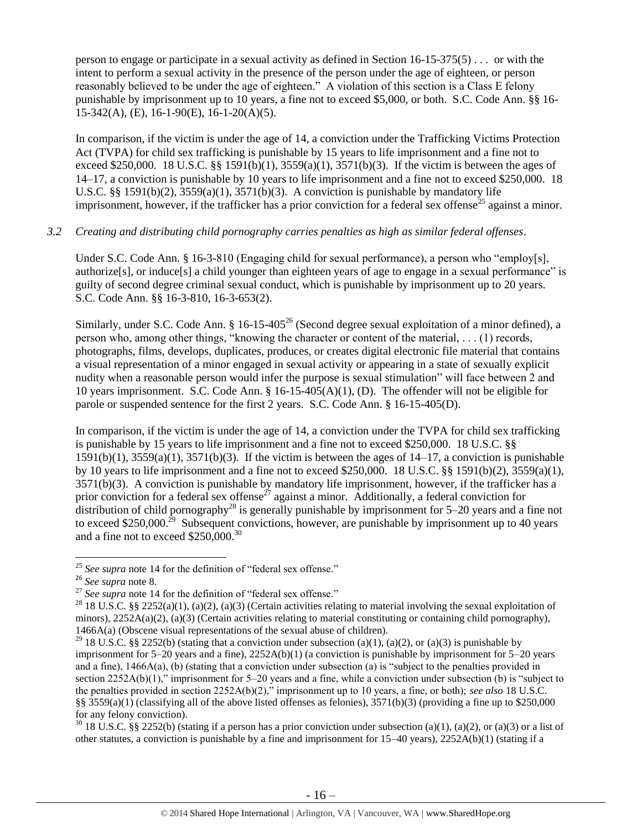person to engage or participate in a sexual activity as defined in Section  $16{\text -}15{\text -}375(5)$ ... or with the intent to perform a sexual activity in the presence of the person under the age of eighteen, or person reasonably believed to be under the age of eighteen." A violation of this section is a Class E felony punishable by imprisonment up to 10 years, a fine not to exceed \$5,000, or both. S.C. Code Ann. §§ 16- 15-342(A), (E), 16-1-90(E), 16-1-20(A)(5).

In comparison, if the victim is under the age of 14, a conviction under the Trafficking Victims Protection Act (TVPA) for child sex trafficking is punishable by 15 years to life imprisonment and a fine not to exceed \$250,000. 18 U.S.C. §§ 1591(b)(1),  $3559(a)(1)$ ,  $3571(b)(3)$ . If the victim is between the ages of 14–17, a conviction is punishable by 10 years to life imprisonment and a fine not to exceed \$250,000. 18 U.S.C. §§ 1591(b)(2),  $3559(a)(1)$ ,  $3571(b)(3)$ . A conviction is punishable by mandatory life imprisonment, however, if the trafficker has a prior conviction for a federal sex offense<sup>25</sup> against a minor.

## *3.2 Creating and distributing child pornography carries penalties as high as similar federal offenses*.

Under S.C. Code Ann. § 16-3-810 (Engaging child for sexual performance), a person who "employ[s], authorize[s], or induce[s] a child younger than eighteen years of age to engage in a sexual performance" is guilty of second degree criminal sexual conduct, which is punishable by imprisonment up to 20 years. S.C. Code Ann. §§ 16-3-810, 16-3-653(2).

Similarly, under S.C. Code Ann. § 16-15-405<sup>26</sup> (Second degree sexual exploitation of a minor defined), a person who, among other things, "knowing the character or content of the material, . . . (1) records, photographs, films, develops, duplicates, produces, or creates digital electronic file material that contains a visual representation of a minor engaged in sexual activity or appearing in a state of sexually explicit nudity when a reasonable person would infer the purpose is sexual stimulation" will face between 2 and 10 years imprisonment. S.C. Code Ann. § 16-15-405(A)(1), (D). The offender will not be eligible for parole or suspended sentence for the first 2 years. S.C. Code Ann. § 16-15-405(D).

In comparison, if the victim is under the age of 14, a conviction under the TVPA for child sex trafficking is punishable by 15 years to life imprisonment and a fine not to exceed \$250,000. 18 U.S.C. §§  $1591(b)(1)$ ,  $3559(a)(1)$ ,  $3571(b)(3)$ . If the victim is between the ages of  $14-17$ , a conviction is punishable by 10 years to life imprisonment and a fine not to exceed \$250,000. 18 U.S.C. §§ 1591(b)(2), 3559(a)(1), 3571(b)(3). A conviction is punishable by mandatory life imprisonment, however, if the trafficker has a prior conviction for a federal sex offense<sup>27</sup> against a minor. Additionally, a federal conviction for distribution of child pornography<sup>28</sup> is generally punishable by imprisonment for  $5-20$  years and a fine not to exceed \$250,000.<sup>29</sup> Subsequent convictions, however, are punishable by imprisonment up to 40 years and a fine not to exceed \$250,000.<sup>30</sup>

 $\overline{a}$ 

 $30\,18$  U.S.C. §§ 2252(b) (stating if a person has a prior conviction under subsection (a)(1), (a)(2), or (a)(3) or a list of other statutes, a conviction is punishable by a fine and imprisonment for  $15-40$  years),  $2252A(b)(1)$  (stating if a

<sup>25</sup> *See supra* note [14](#page-9-0) for the definition of "federal sex offense."

<sup>26</sup> *See supra* note [8.](#page-3-0)

<sup>&</sup>lt;sup>27</sup> See supra note [14](#page-9-0) for the definition of "federal sex offense."

<sup>&</sup>lt;sup>28</sup> 18 U.S.C. §§ 2252(a)(1), (a)(2), (a)(3) (Certain activities relating to material involving the sexual exploitation of minors),  $2252A(a)(2)$ ,  $(a)(3)$  (Certain activities relating to material constituting or containing child pornography), 1466A(a) (Obscene visual representations of the sexual abuse of children).

<sup>&</sup>lt;sup>29</sup> 18 U.S.C. §§ 2252(b) (stating that a conviction under subsection (a)(1), (a)(2), or (a)(3) is punishable by imprisonment for  $5-20$  years and a fine),  $2252A(b)(1)$  (a conviction is punishable by imprisonment for  $5-20$  years and a fine), 1466A(a), (b) (stating that a conviction under subsection (a) is "subject to the penalties provided in section 2252A(b)(1)," imprisonment for 5–20 years and a fine, while a conviction under subsection (b) is "subject to the penalties provided in section 2252A(b)(2)," imprisonment up to 10 years, a fine, or both); *see also* 18 U.S.C. §§ 3559(a)(1) (classifying all of the above listed offenses as felonies),  $3571(b)(3)$  (providing a fine up to \$250,000 for any felony conviction).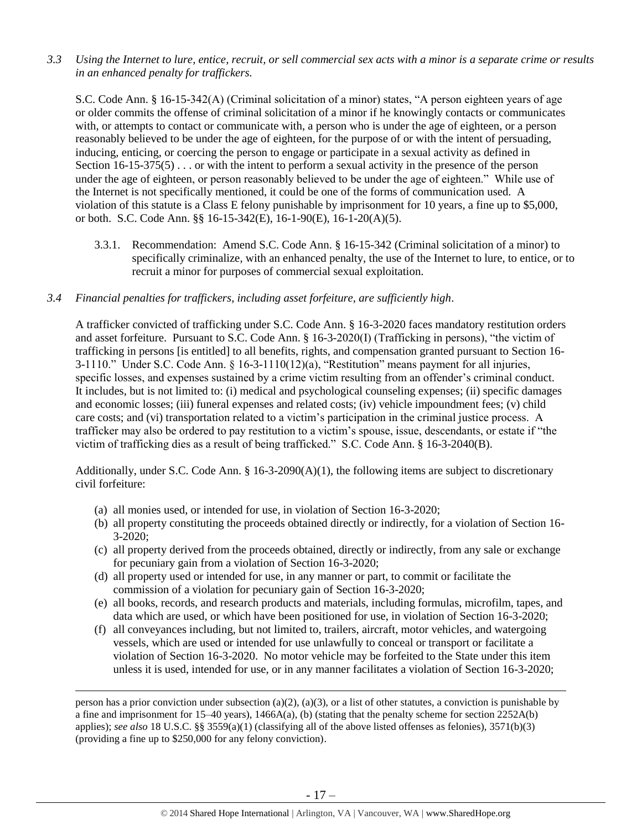*3.3 Using the Internet to lure, entice, recruit, or sell commercial sex acts with a minor is a separate crime or results in an enhanced penalty for traffickers.* 

S.C. Code Ann. § 16-15-342(A) (Criminal solicitation of a minor) states, "A person eighteen years of age or older commits the offense of criminal solicitation of a minor if he knowingly contacts or communicates with, or attempts to contact or communicate with, a person who is under the age of eighteen, or a person reasonably believed to be under the age of eighteen, for the purpose of or with the intent of persuading, inducing, enticing, or coercing the person to engage or participate in a sexual activity as defined in Section  $16-15-375(5)$ ... or with the intent to perform a sexual activity in the presence of the person under the age of eighteen, or person reasonably believed to be under the age of eighteen." While use of the Internet is not specifically mentioned, it could be one of the forms of communication used. A violation of this statute is a Class E felony punishable by imprisonment for 10 years, a fine up to \$5,000, or both. S.C. Code Ann. §§ 16-15-342(E), 16-1-90(E), 16-1-20(A)(5).

3.3.1. Recommendation: Amend S.C. Code Ann. § 16-15-342 (Criminal solicitation of a minor) to specifically criminalize, with an enhanced penalty, the use of the Internet to lure, to entice, or to recruit a minor for purposes of commercial sexual exploitation.

# *3.4 Financial penalties for traffickers, including asset forfeiture, are sufficiently high*.

A trafficker convicted of trafficking under S.C. Code Ann. § 16-3-2020 faces mandatory restitution orders and asset forfeiture. Pursuant to S.C. Code Ann. § 16-3-2020(I) (Trafficking in persons), "the victim of trafficking in persons [is entitled] to all benefits, rights, and compensation granted pursuant to Section 16- 3-1110." Under S.C. Code Ann. § 16-3-1110(12)(a), "Restitution" means payment for all injuries, specific losses, and expenses sustained by a crime victim resulting from an offender's criminal conduct. It includes, but is not limited to: (i) medical and psychological counseling expenses; (ii) specific damages and economic losses; (iii) funeral expenses and related costs; (iv) vehicle impoundment fees; (v) child care costs; and (vi) transportation related to a victim's participation in the criminal justice process. A trafficker may also be ordered to pay restitution to a victim's spouse, issue, descendants, or estate if "the victim of trafficking dies as a result of being trafficked." S.C. Code Ann. § 16-3-2040(B).

Additionally, under S.C. Code Ann.  $\S$  16-3-2090(A)(1), the following items are subject to discretionary civil forfeiture:

(a) all monies used, or intended for use, in violation of Section 16-3-2020;

 $\overline{\phantom{a}}$ 

- (b) all property constituting the proceeds obtained directly or indirectly, for a violation of Section 16- 3-2020;
- (c) all property derived from the proceeds obtained, directly or indirectly, from any sale or exchange for pecuniary gain from a violation of Section 16-3-2020;
- (d) all property used or intended for use, in any manner or part, to commit or facilitate the commission of a violation for pecuniary gain of Section 16-3-2020;
- (e) all books, records, and research products and materials, including formulas, microfilm, tapes, and data which are used, or which have been positioned for use, in violation of Section 16-3-2020;
- (f) all conveyances including, but not limited to, trailers, aircraft, motor vehicles, and watergoing vessels, which are used or intended for use unlawfully to conceal or transport or facilitate a violation of Section 16-3-2020. No motor vehicle may be forfeited to the State under this item unless it is used, intended for use, or in any manner facilitates a violation of Section 16-3-2020;

person has a prior conviction under subsection (a)(2), (a)(3), or a list of other statutes, a conviction is punishable by a fine and imprisonment for 15–40 years), 1466A(a), (b) (stating that the penalty scheme for section 2252A(b) applies); *see also* 18 U.S.C. §§ 3559(a)(1) (classifying all of the above listed offenses as felonies), 3571(b)(3) (providing a fine up to \$250,000 for any felony conviction).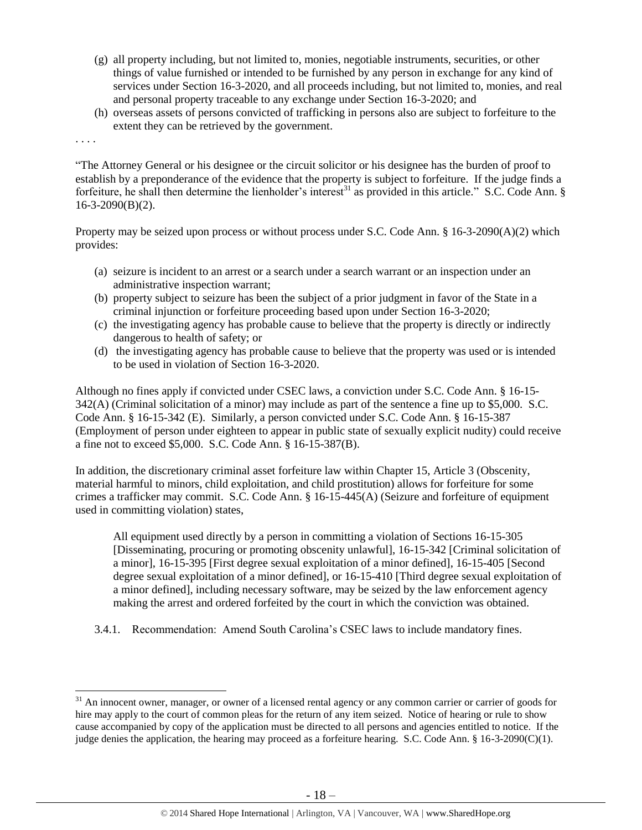- (g) all property including, but not limited to, monies, negotiable instruments, securities, or other things of value furnished or intended to be furnished by any person in exchange for any kind of services under Section 16-3-2020, and all proceeds including, but not limited to, monies, and real and personal property traceable to any exchange under Section 16-3-2020; and
- (h) overseas assets of persons convicted of trafficking in persons also are subject to forfeiture to the extent they can be retrieved by the government.

. . . .

 $\overline{\phantom{a}}$ 

"The Attorney General or his designee or the circuit solicitor or his designee has the burden of proof to establish by a preponderance of the evidence that the property is subject to forfeiture. If the judge finds a forfeiture, he shall then determine the lienholder's interest<sup>31</sup> as provided in this article." S.C. Code Ann. §  $16-3-2090(B)(2)$ .

Property may be seized upon process or without process under S.C. Code Ann. § 16-3-2090(A)(2) which provides:

- (a) seizure is incident to an arrest or a search under a search warrant or an inspection under an administrative inspection warrant;
- (b) property subject to seizure has been the subject of a prior judgment in favor of the State in a criminal injunction or forfeiture proceeding based upon under Section 16-3-2020;
- (c) the investigating agency has probable cause to believe that the property is directly or indirectly dangerous to health of safety; or
- (d) the investigating agency has probable cause to believe that the property was used or is intended to be used in violation of Section 16-3-2020.

Although no fines apply if convicted under CSEC laws, a conviction under S.C. Code Ann. § 16-15- 342(A) (Criminal solicitation of a minor) may include as part of the sentence a fine up to \$5,000. S.C. Code Ann. § 16-15-342 (E). Similarly, a person convicted under S.C. Code Ann. § 16-15-387 (Employment of person under eighteen to appear in public state of sexually explicit nudity) could receive a fine not to exceed \$5,000. S.C. Code Ann. § 16-15-387(B).

In addition, the discretionary criminal asset forfeiture law within Chapter 15, Article 3 (Obscenity, material harmful to minors, child exploitation, and child prostitution) allows for forfeiture for some crimes a trafficker may commit. S.C. Code Ann. § 16-15-445(A) (Seizure and forfeiture of equipment used in committing violation) states,

All equipment used directly by a person in committing a violation of Sections 16-15-305 [Disseminating, procuring or promoting obscenity unlawful], 16-15-342 [Criminal solicitation of a minor], 16-15-395 [First degree sexual exploitation of a minor defined], 16-15-405 [Second degree sexual exploitation of a minor defined], or 16-15-410 [Third degree sexual exploitation of a minor defined], including necessary software, may be seized by the law enforcement agency making the arrest and ordered forfeited by the court in which the conviction was obtained.

3.4.1. Recommendation: Amend South Carolina's CSEC laws to include mandatory fines.

 $31$  An innocent owner, manager, or owner of a licensed rental agency or any common carrier or carrier of goods for hire may apply to the court of common pleas for the return of any item seized. Notice of hearing or rule to show cause accompanied by copy of the application must be directed to all persons and agencies entitled to notice. If the judge denies the application, the hearing may proceed as a forfeiture hearing. S.C. Code Ann. § 16-3-2090(C)(1).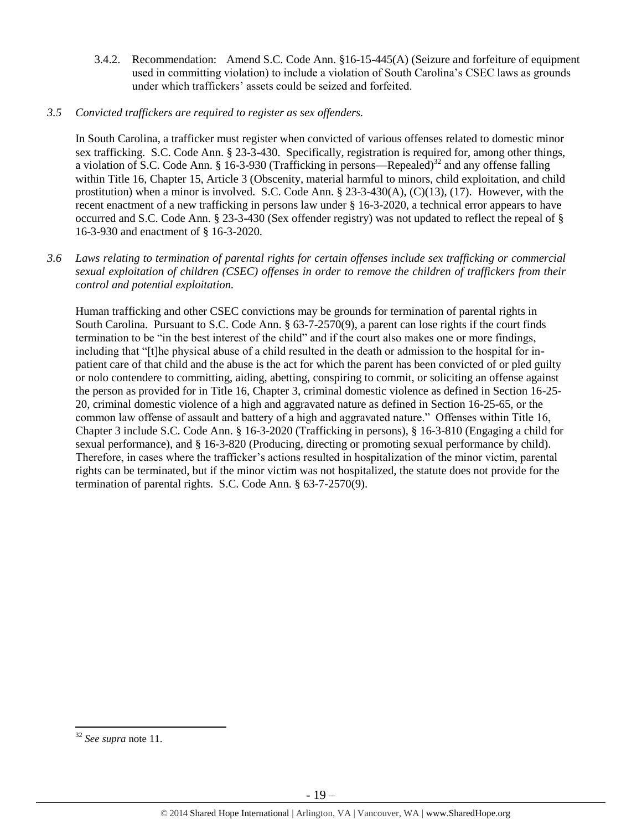3.4.2. Recommendation: Amend S.C. Code Ann. §16-15-445(A) (Seizure and forfeiture of equipment used in committing violation) to include a violation of South Carolina's CSEC laws as grounds under which traffickers' assets could be seized and forfeited.

# *3.5 Convicted traffickers are required to register as sex offenders.*

In South Carolina, a trafficker must register when convicted of various offenses related to domestic minor sex trafficking. S.C. Code Ann. § 23-3-430. Specifically, registration is required for, among other things, a violation of S.C. Code Ann. § 16-3-930 (Trafficking in persons—Repealed)<sup>32</sup> and any offense falling within Title 16, Chapter 15, Article 3 (Obscenity, material harmful to minors, child exploitation, and child prostitution) when a minor is involved. S.C. Code Ann. § 23-3-430(A), (C)(13), (17). However, with the recent enactment of a new trafficking in persons law under § 16-3-2020, a technical error appears to have occurred and S.C. Code Ann. § 23-3-430 (Sex offender registry) was not updated to reflect the repeal of § 16-3-930 and enactment of § 16-3-2020.

*3.6 Laws relating to termination of parental rights for certain offenses include sex trafficking or commercial sexual exploitation of children (CSEC) offenses in order to remove the children of traffickers from their control and potential exploitation.* 

Human trafficking and other CSEC convictions may be grounds for termination of parental rights in South Carolina. Pursuant to S.C. Code Ann. § 63-7-2570(9), a parent can lose rights if the court finds termination to be "in the best interest of the child" and if the court also makes one or more findings, including that "[t]he physical abuse of a child resulted in the death or admission to the hospital for inpatient care of that child and the abuse is the act for which the parent has been convicted of or pled guilty or nolo contendere to committing, aiding, abetting, conspiring to commit, or soliciting an offense against the person as provided for in Title 16, Chapter 3, criminal domestic violence as defined in Section 16-25- 20, criminal domestic violence of a high and aggravated nature as defined in Section 16-25-65, or the common law offense of assault and battery of a high and aggravated nature." Offenses within Title 16, Chapter 3 include S.C. Code Ann. § 16-3-2020 (Trafficking in persons), § 16-3-810 (Engaging a child for sexual performance), and § 16-3-820 (Producing, directing or promoting sexual performance by child). Therefore, in cases where the trafficker's actions resulted in hospitalization of the minor victim, parental rights can be terminated, but if the minor victim was not hospitalized, the statute does not provide for the termination of parental rights. S.C. Code Ann. § 63-7-2570(9).

 $\overline{\phantom{a}}$ <sup>32</sup> *See supra* note [11.](#page-5-0)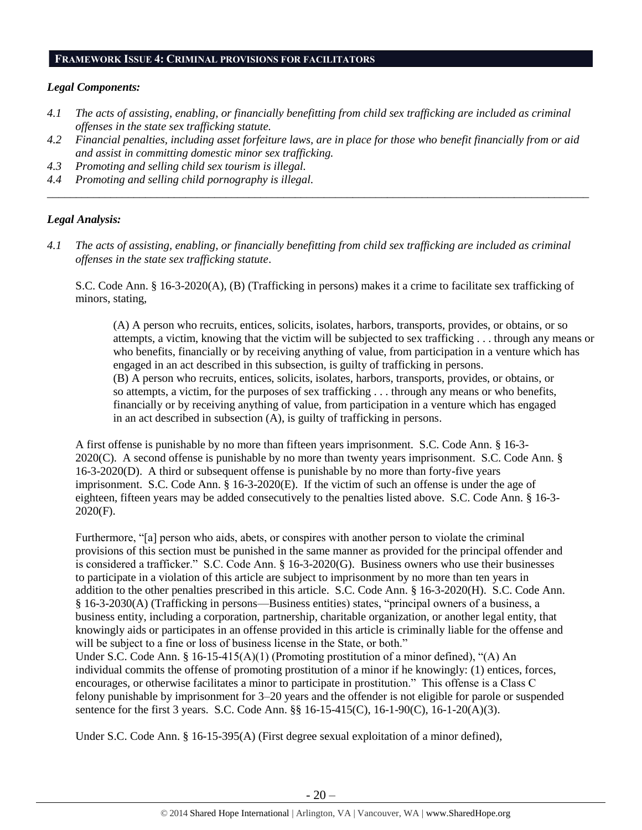## **FRAMEWORK ISSUE 4: CRIMINAL PROVISIONS FOR FACILITATORS**

# *Legal Components:*

- *4.1 The acts of assisting, enabling, or financially benefitting from child sex trafficking are included as criminal offenses in the state sex trafficking statute.*
- *4.2 Financial penalties, including asset forfeiture laws, are in place for those who benefit financially from or aid and assist in committing domestic minor sex trafficking.*

*\_\_\_\_\_\_\_\_\_\_\_\_\_\_\_\_\_\_\_\_\_\_\_\_\_\_\_\_\_\_\_\_\_\_\_\_\_\_\_\_\_\_\_\_\_\_\_\_\_\_\_\_\_\_\_\_\_\_\_\_\_\_\_\_\_\_\_\_\_\_\_\_\_\_\_\_\_\_\_\_\_\_\_\_\_\_\_\_\_\_\_\_\_\_*

- *4.3 Promoting and selling child sex tourism is illegal.*
- *4.4 Promoting and selling child pornography is illegal.*

### *Legal Analysis:*

*4.1 The acts of assisting, enabling, or financially benefitting from child sex trafficking are included as criminal offenses in the state sex trafficking statute*.

S.C. Code Ann. § 16-3-2020(A), (B) (Trafficking in persons) makes it a crime to facilitate sex trafficking of minors, stating,

(A) A person who recruits, entices, solicits, isolates, harbors, transports, provides, or obtains, or so attempts, a victim, knowing that the victim will be subjected to sex trafficking . . . through any means or who benefits, financially or by receiving anything of value, from participation in a venture which has engaged in an act described in this subsection, is guilty of trafficking in persons. (B) A person who recruits, entices, solicits, isolates, harbors, transports, provides, or obtains, or so attempts, a victim, for the purposes of sex trafficking . . . through any means or who benefits, financially or by receiving anything of value, from participation in a venture which has engaged in an act described in subsection (A), is guilty of trafficking in persons.

A first offense is punishable by no more than fifteen years imprisonment. S.C. Code Ann. § 16-3- 2020(C). A second offense is punishable by no more than twenty years imprisonment. S.C. Code Ann. § 16-3-2020(D). A third or subsequent offense is punishable by no more than forty-five years imprisonment. S.C. Code Ann. § 16-3-2020(E). If the victim of such an offense is under the age of eighteen, fifteen years may be added consecutively to the penalties listed above. S.C. Code Ann. § 16-3- 2020(F).

Furthermore, "[a] person who aids, abets, or conspires with another person to violate the criminal provisions of this section must be punished in the same manner as provided for the principal offender and is considered a trafficker." S.C. Code Ann. § 16-3-2020(G). Business owners who use their businesses to participate in a violation of this article are subject to imprisonment by no more than ten years in addition to the other penalties prescribed in this article. S.C. Code Ann. § 16-3-2020(H). S.C. Code Ann. § 16-3-2030(A) (Trafficking in persons—Business entities) states, "principal owners of a business, a business entity, including a corporation, partnership, charitable organization, or another legal entity, that knowingly aids or participates in an offense provided in this article is criminally liable for the offense and will be subject to a fine or loss of business license in the State, or both." Under S.C. Code Ann. § 16-15-415(A)(1) (Promoting prostitution of a minor defined), "(A) An

individual commits the offense of promoting prostitution of a minor if he knowingly: (1) entices, forces, encourages, or otherwise facilitates a minor to participate in prostitution." This offense is a Class C felony punishable by imprisonment for 3–20 years and the offender is not eligible for parole or suspended sentence for the first 3 years. S.C. Code Ann. §§ 16-15-415(C), 16-1-90(C), 16-1-20(A)(3).

Under S.C. Code Ann. § 16-15-395(A) (First degree sexual exploitation of a minor defined),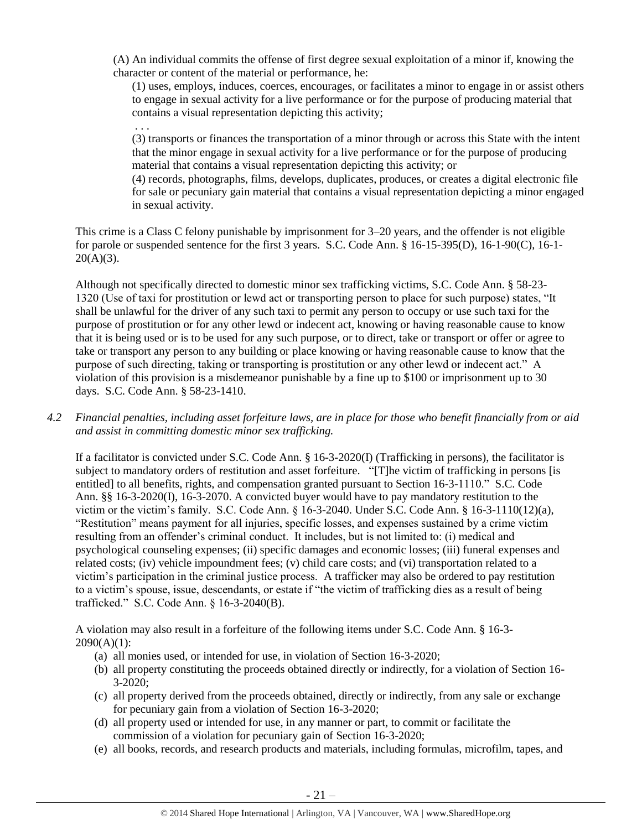(A) An individual commits the offense of first degree sexual exploitation of a minor if, knowing the character or content of the material or performance, he:

(1) uses, employs, induces, coerces, encourages, or facilitates a minor to engage in or assist others to engage in sexual activity for a live performance or for the purpose of producing material that contains a visual representation depicting this activity;

(3) transports or finances the transportation of a minor through or across this State with the intent that the minor engage in sexual activity for a live performance or for the purpose of producing material that contains a visual representation depicting this activity; or

(4) records, photographs, films, develops, duplicates, produces, or creates a digital electronic file for sale or pecuniary gain material that contains a visual representation depicting a minor engaged in sexual activity.

This crime is a Class C felony punishable by imprisonment for 3–20 years, and the offender is not eligible for parole or suspended sentence for the first 3 years. S.C. Code Ann. § 16-15-395(D), 16-1-90(C), 16-1-  $20(A)(3)$ .

. . .

Although not specifically directed to domestic minor sex trafficking victims, S.C. Code Ann. § 58-23- 1320 (Use of taxi for prostitution or lewd act or transporting person to place for such purpose) states, "It shall be unlawful for the driver of any such taxi to permit any person to occupy or use such taxi for the purpose of prostitution or for any other lewd or indecent act, knowing or having reasonable cause to know that it is being used or is to be used for any such purpose, or to direct, take or transport or offer or agree to take or transport any person to any building or place knowing or having reasonable cause to know that the purpose of such directing, taking or transporting is prostitution or any other lewd or indecent act." A violation of this provision is a misdemeanor punishable by a fine up to \$100 or imprisonment up to 30 days. S.C. Code Ann. § 58-23-1410.

*4.2 Financial penalties, including asset forfeiture laws, are in place for those who benefit financially from or aid and assist in committing domestic minor sex trafficking.*

If a facilitator is convicted under S.C. Code Ann. § 16-3-2020(I) (Trafficking in persons), the facilitator is subject to mandatory orders of restitution and asset forfeiture. "[T]he victim of trafficking in persons [is entitled] to all benefits, rights, and compensation granted pursuant to Section 16-3-1110." S.C. Code Ann. §§ 16-3-2020(I), 16-3-2070. A convicted buyer would have to pay mandatory restitution to the victim or the victim's family. S.C. Code Ann. § 16-3-2040. Under S.C. Code Ann. § 16-3-1110(12)(a), "Restitution" means payment for all injuries, specific losses, and expenses sustained by a crime victim resulting from an offender's criminal conduct. It includes, but is not limited to: (i) medical and psychological counseling expenses; (ii) specific damages and economic losses; (iii) funeral expenses and related costs; (iv) vehicle impoundment fees; (v) child care costs; and (vi) transportation related to a victim's participation in the criminal justice process. A trafficker may also be ordered to pay restitution to a victim's spouse, issue, descendants, or estate if "the victim of trafficking dies as a result of being trafficked." S.C. Code Ann. § 16-3-2040(B).

A violation may also result in a forfeiture of the following items under S.C. Code Ann. § 16-3-  $2090(A)(1)$ :

- (a) all monies used, or intended for use, in violation of Section 16-3-2020;
- (b) all property constituting the proceeds obtained directly or indirectly, for a violation of Section 16-  $3 - 2020$ ;
- (c) all property derived from the proceeds obtained, directly or indirectly, from any sale or exchange for pecuniary gain from a violation of Section 16-3-2020;
- (d) all property used or intended for use, in any manner or part, to commit or facilitate the commission of a violation for pecuniary gain of Section 16-3-2020;
- (e) all books, records, and research products and materials, including formulas, microfilm, tapes, and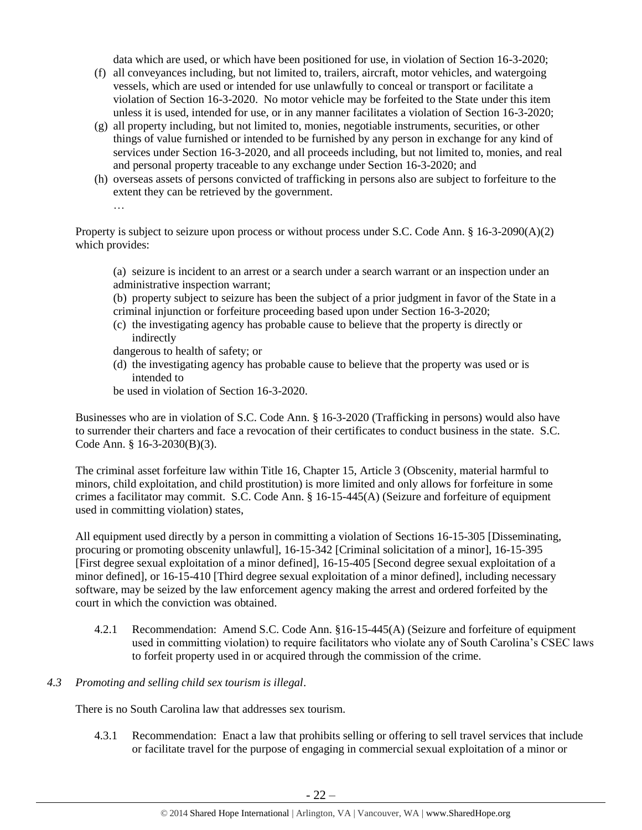data which are used, or which have been positioned for use, in violation of Section 16-3-2020;

- (f) all conveyances including, but not limited to, trailers, aircraft, motor vehicles, and watergoing vessels, which are used or intended for use unlawfully to conceal or transport or facilitate a violation of Section 16-3-2020. No motor vehicle may be forfeited to the State under this item unless it is used, intended for use, or in any manner facilitates a violation of Section 16-3-2020;
- (g) all property including, but not limited to, monies, negotiable instruments, securities, or other things of value furnished or intended to be furnished by any person in exchange for any kind of services under Section 16-3-2020, and all proceeds including, but not limited to, monies, and real and personal property traceable to any exchange under Section 16-3-2020; and
- (h) overseas assets of persons convicted of trafficking in persons also are subject to forfeiture to the extent they can be retrieved by the government.

…

Property is subject to seizure upon process or without process under S.C. Code Ann. § 16-3-2090(A)(2) which provides:

(a) seizure is incident to an arrest or a search under a search warrant or an inspection under an administrative inspection warrant;

- (b) property subject to seizure has been the subject of a prior judgment in favor of the State in a
- criminal injunction or forfeiture proceeding based upon under Section 16-3-2020;
- (c) the investigating agency has probable cause to believe that the property is directly or indirectly
- dangerous to health of safety; or
- (d) the investigating agency has probable cause to believe that the property was used or is intended to
- be used in violation of Section 16-3-2020.

Businesses who are in violation of S.C. Code Ann. § 16-3-2020 (Trafficking in persons) would also have to surrender their charters and face a revocation of their certificates to conduct business in the state. S.C. Code Ann. § 16-3-2030(B)(3).

The criminal asset forfeiture law within Title 16, Chapter 15, Article 3 (Obscenity, material harmful to minors, child exploitation, and child prostitution) is more limited and only allows for forfeiture in some crimes a facilitator may commit. S.C. Code Ann. § 16-15-445(A) (Seizure and forfeiture of equipment used in committing violation) states,

All equipment used directly by a person in committing a violation of Sections 16-15-305 [Disseminating, procuring or promoting obscenity unlawful], 16-15-342 [Criminal solicitation of a minor], 16-15-395 [First degree sexual exploitation of a minor defined], 16-15-405 [Second degree sexual exploitation of a minor defined], or 16-15-410 [Third degree sexual exploitation of a minor defined], including necessary software, may be seized by the law enforcement agency making the arrest and ordered forfeited by the court in which the conviction was obtained.

4.2.1 Recommendation: Amend S.C. Code Ann. §16-15-445(A) (Seizure and forfeiture of equipment used in committing violation) to require facilitators who violate any of South Carolina's CSEC laws to forfeit property used in or acquired through the commission of the crime.

# *4.3 Promoting and selling child sex tourism is illegal*.

There is no South Carolina law that addresses sex tourism.

4.3.1 Recommendation: Enact a law that prohibits selling or offering to sell travel services that include or facilitate travel for the purpose of engaging in commercial sexual exploitation of a minor or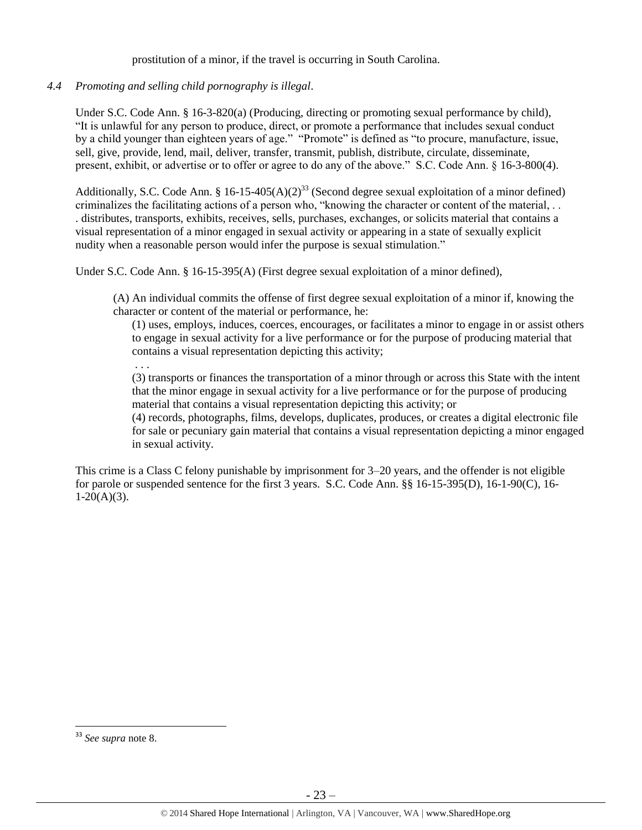prostitution of a minor, if the travel is occurring in South Carolina.

*4.4 Promoting and selling child pornography is illegal*.

Under S.C. Code Ann. § 16-3-820(a) (Producing, directing or promoting sexual performance by child), "It is unlawful for any person to produce, direct, or promote a performance that includes sexual conduct by a child younger than eighteen years of age." "Promote" is defined as "to procure, manufacture, issue, sell, give, provide, lend, mail, deliver, transfer, transmit, publish, distribute, circulate, disseminate, present, exhibit, or advertise or to offer or agree to do any of the above." S.C. Code Ann. § 16-3-800(4).

Additionally, S.C. Code Ann. § 16-15-405(A)(2)<sup>33</sup> (Second degree sexual exploitation of a minor defined) criminalizes the facilitating actions of a person who, "knowing the character or content of the material, . . . distributes, transports, exhibits, receives, sells, purchases, exchanges, or solicits material that contains a visual representation of a minor engaged in sexual activity or appearing in a state of sexually explicit nudity when a reasonable person would infer the purpose is sexual stimulation."

Under S.C. Code Ann. § 16-15-395(A) (First degree sexual exploitation of a minor defined),

(A) An individual commits the offense of first degree sexual exploitation of a minor if, knowing the character or content of the material or performance, he:

(1) uses, employs, induces, coerces, encourages, or facilitates a minor to engage in or assist others to engage in sexual activity for a live performance or for the purpose of producing material that contains a visual representation depicting this activity;

. . .

(3) transports or finances the transportation of a minor through or across this State with the intent that the minor engage in sexual activity for a live performance or for the purpose of producing material that contains a visual representation depicting this activity; or

(4) records, photographs, films, develops, duplicates, produces, or creates a digital electronic file for sale or pecuniary gain material that contains a visual representation depicting a minor engaged in sexual activity.

This crime is a Class C felony punishable by imprisonment for 3–20 years, and the offender is not eligible for parole or suspended sentence for the first 3 years. S.C. Code Ann. §§ 16-15-395(D), 16-1-90(C), 16-  $1-20(A)(3)$ .

<sup>33</sup> *See supra* note [8.](#page-3-0)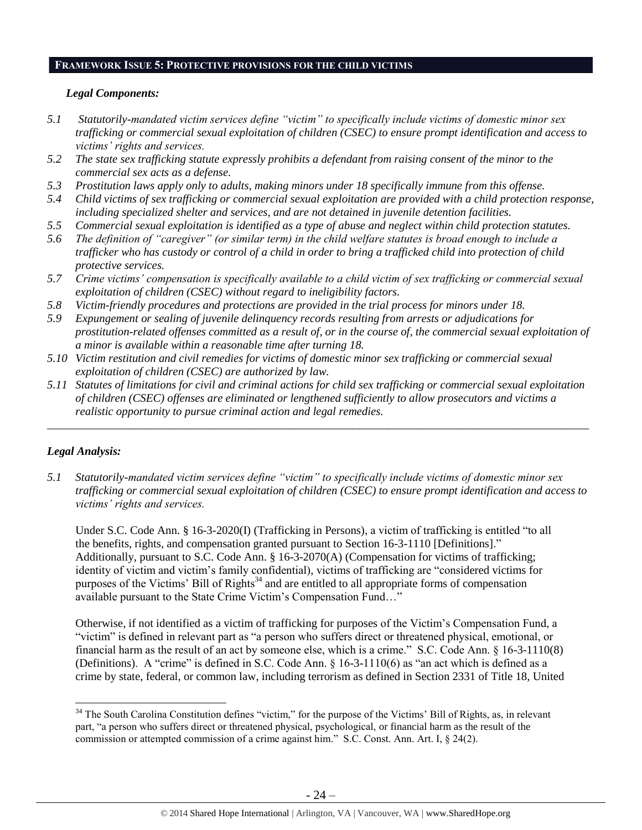# **FRAMEWORK ISSUE 5: PROTECTIVE PROVISIONS FOR THE CHILD VICTIMS**

# *Legal Components:*

- *5.1 Statutorily-mandated victim services define "victim" to specifically include victims of domestic minor sex trafficking or commercial sexual exploitation of children (CSEC) to ensure prompt identification and access to victims' rights and services.*
- *5.2 The state sex trafficking statute expressly prohibits a defendant from raising consent of the minor to the commercial sex acts as a defense.*
- *5.3 Prostitution laws apply only to adults, making minors under 18 specifically immune from this offense.*
- *5.4 Child victims of sex trafficking or commercial sexual exploitation are provided with a child protection response, including specialized shelter and services, and are not detained in juvenile detention facilities.*
- *5.5 Commercial sexual exploitation is identified as a type of abuse and neglect within child protection statutes.*
- *5.6 The definition of "caregiver" (or similar term) in the child welfare statutes is broad enough to include a trafficker who has custody or control of a child in order to bring a trafficked child into protection of child protective services.*
- *5.7 Crime victims' compensation is specifically available to a child victim of sex trafficking or commercial sexual exploitation of children (CSEC) without regard to ineligibility factors.*
- *5.8 Victim-friendly procedures and protections are provided in the trial process for minors under 18.*
- *5.9 Expungement or sealing of juvenile delinquency records resulting from arrests or adjudications for prostitution-related offenses committed as a result of, or in the course of, the commercial sexual exploitation of a minor is available within a reasonable time after turning 18.*
- *5.10 Victim restitution and civil remedies for victims of domestic minor sex trafficking or commercial sexual exploitation of children (CSEC) are authorized by law.*
- *5.11 Statutes of limitations for civil and criminal actions for child sex trafficking or commercial sexual exploitation of children (CSEC) offenses are eliminated or lengthened sufficiently to allow prosecutors and victims a realistic opportunity to pursue criminal action and legal remedies.*

*\_\_\_\_\_\_\_\_\_\_\_\_\_\_\_\_\_\_\_\_\_\_\_\_\_\_\_\_\_\_\_\_\_\_\_\_\_\_\_\_\_\_\_\_\_\_\_\_\_\_\_\_\_\_\_\_\_\_\_\_\_\_\_\_\_\_\_\_\_\_\_\_\_\_\_\_\_\_\_\_\_\_\_\_\_\_\_\_\_\_\_\_\_\_*

# *Legal Analysis:*

 $\overline{a}$ 

*5.1 Statutorily-mandated victim services define "victim" to specifically include victims of domestic minor sex trafficking or commercial sexual exploitation of children (CSEC) to ensure prompt identification and access to victims' rights and services.* 

Under S.C. Code Ann. § 16-3-2020(I) (Trafficking in Persons), a victim of trafficking is entitled "to all the benefits, rights, and compensation granted pursuant to Section 16-3-1110 [Definitions]." Additionally, pursuant to S.C. Code Ann. § 16-3-2070(A) (Compensation for victims of trafficking; identity of victim and victim's family confidential), victims of trafficking are "considered victims for purposes of the Victims' Bill of Rights<sup>34</sup> and are entitled to all appropriate forms of compensation available pursuant to the State Crime Victim's Compensation Fund…"

Otherwise, if not identified as a victim of trafficking for purposes of the Victim's Compensation Fund, a "victim" is defined in relevant part as "a person who suffers direct or threatened physical, emotional, or financial harm as the result of an act by someone else, which is a crime." S.C. Code Ann. § 16-3-1110(8) (Definitions). A "crime" is defined in S.C. Code Ann. § 16-3-1110(6) as "an act which is defined as a crime by state, federal, or common law, including terrorism as defined in Section 2331 of Title 18, United

<sup>&</sup>lt;sup>34</sup> The South Carolina Constitution defines "victim," for the purpose of the Victims' Bill of Rights, as, in relevant part, "a person who suffers direct or threatened physical, psychological, or financial harm as the result of the commission or attempted commission of a crime against him." S.C. Const. Ann. Art. I, § 24(2).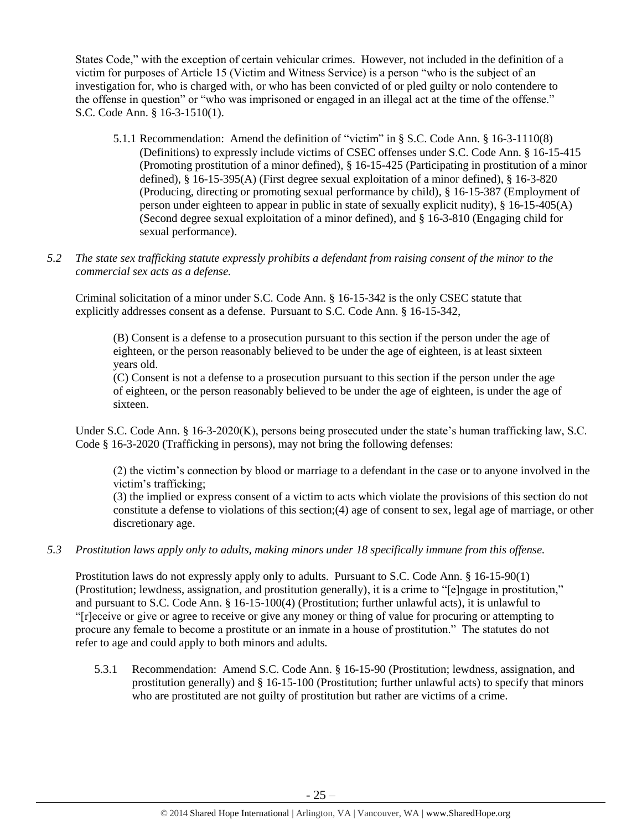States Code," with the exception of certain vehicular crimes. However, not included in the definition of a victim for purposes of Article 15 (Victim and Witness Service) is a person "who is the subject of an investigation for, who is charged with, or who has been convicted of or pled guilty or nolo contendere to the offense in question" or "who was imprisoned or engaged in an illegal act at the time of the offense." S.C. Code Ann. § 16-3-1510(1).

- 5.1.1 Recommendation: Amend the definition of "victim" in § S.C. Code Ann. § 16-3-1110(8) (Definitions) to expressly include victims of CSEC offenses under S.C. Code Ann. § 16-15-415 (Promoting prostitution of a minor defined), § 16-15-425 (Participating in prostitution of a minor defined), § 16-15-395(A) (First degree sexual exploitation of a minor defined), § 16-3-820 (Producing, directing or promoting sexual performance by child), § 16-15-387 (Employment of person under eighteen to appear in public in state of sexually explicit nudity), § 16-15-405(A) (Second degree sexual exploitation of a minor defined), and § 16-3-810 (Engaging child for sexual performance).
- *5.2 The state sex trafficking statute expressly prohibits a defendant from raising consent of the minor to the commercial sex acts as a defense.*

Criminal solicitation of a minor under S.C. Code Ann. § 16-15-342 is the only CSEC statute that explicitly addresses consent as a defense. Pursuant to S.C. Code Ann. § 16-15-342,

(B) Consent is a defense to a prosecution pursuant to this section if the person under the age of eighteen, or the person reasonably believed to be under the age of eighteen, is at least sixteen years old.

(C) Consent is not a defense to a prosecution pursuant to this section if the person under the age of eighteen, or the person reasonably believed to be under the age of eighteen, is under the age of sixteen.

Under S.C. Code Ann. § 16-3-2020(K), persons being prosecuted under the state's human trafficking law, S.C. Code § 16-3-2020 (Trafficking in persons), may not bring the following defenses:

(2) the victim's connection by blood or marriage to a defendant in the case or to anyone involved in the victim's trafficking;

(3) the implied or express consent of a victim to acts which violate the provisions of this section do not constitute a defense to violations of this section;(4) age of consent to sex, legal age of marriage, or other discretionary age.

# *5.3 Prostitution laws apply only to adults, making minors under 18 specifically immune from this offense.*

Prostitution laws do not expressly apply only to adults. Pursuant to S.C. Code Ann. § 16-15-90(1) (Prostitution; lewdness, assignation, and prostitution generally), it is a crime to "[e]ngage in prostitution," and pursuant to S.C. Code Ann. § 16-15-100(4) (Prostitution; further unlawful acts), it is unlawful to "[r]eceive or give or agree to receive or give any money or thing of value for procuring or attempting to procure any female to become a prostitute or an inmate in a house of prostitution." The statutes do not refer to age and could apply to both minors and adults.

5.3.1 Recommendation: Amend S.C. Code Ann. § 16-15-90 (Prostitution; lewdness, assignation, and prostitution generally) and § 16-15-100 (Prostitution; further unlawful acts) to specify that minors who are prostituted are not guilty of prostitution but rather are victims of a crime.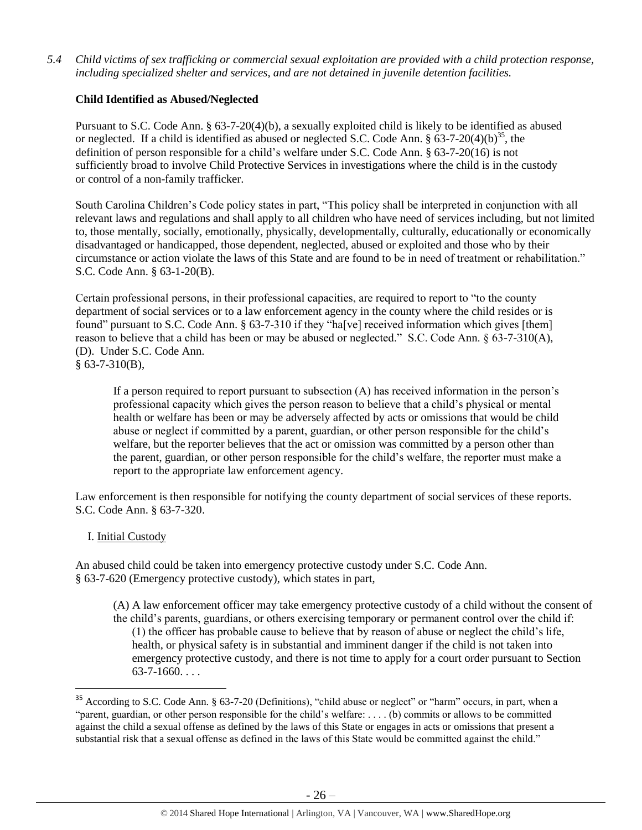*5.4 Child victims of sex trafficking or commercial sexual exploitation are provided with a child protection response, including specialized shelter and services, and are not detained in juvenile detention facilities.*

# **Child Identified as Abused/Neglected**

Pursuant to S.C. Code Ann. § 63-7-20(4)(b), a sexually exploited child is likely to be identified as abused or neglected. If a child is identified as abused or neglected S.C. Code Ann. §  $63-7-20(4)(b)^{35}$ , the definition of person responsible for a child's welfare under S.C. Code Ann. § 63-7-20(16) is not sufficiently broad to involve Child Protective Services in investigations where the child is in the custody or control of a non-family trafficker.

South Carolina Children's Code policy states in part, "This policy shall be interpreted in conjunction with all relevant laws and regulations and shall apply to all children who have need of services including, but not limited to, those mentally, socially, emotionally, physically, developmentally, culturally, educationally or economically disadvantaged or handicapped, those dependent, neglected, abused or exploited and those who by their circumstance or action violate the laws of this State and are found to be in need of treatment or rehabilitation." S.C. Code Ann. § 63-1-20(B).

Certain professional persons, in their professional capacities, are required to report to "to the county department of social services or to a law enforcement agency in the county where the child resides or is found" pursuant to S.C. Code Ann. § 63-7-310 if they "ha[ve] received information which gives [them] reason to believe that a child has been or may be abused or neglected." S.C. Code Ann. § 63-7-310(A), (D). Under S.C. Code Ann.  $§$  63-7-310(B),

If a person required to report pursuant to subsection (A) has received information in the person's professional capacity which gives the person reason to believe that a child's physical or mental health or welfare has been or may be adversely affected by acts or omissions that would be child abuse or neglect if committed by a parent, guardian, or other person responsible for the child's welfare, but the reporter believes that the act or omission was committed by a person other than the parent, guardian, or other person responsible for the child's welfare, the reporter must make a report to the appropriate law enforcement agency.

Law enforcement is then responsible for notifying the county department of social services of these reports. S.C. Code Ann. § 63-7-320.

# I. Initial Custody

l

An abused child could be taken into emergency protective custody under S.C. Code Ann. § 63-7-620 (Emergency protective custody), which states in part,

(A) A law enforcement officer may take emergency protective custody of a child without the consent of the child's parents, guardians, or others exercising temporary or permanent control over the child if: (1) the officer has probable cause to believe that by reason of abuse or neglect the child's life, health, or physical safety is in substantial and imminent danger if the child is not taken into emergency protective custody, and there is not time to apply for a court order pursuant to Section  $63 - 7 - 1660$ ...

<sup>&</sup>lt;sup>35</sup> According to S.C. Code Ann. § 63-7-20 (Definitions), "child abuse or neglect" or "harm" occurs, in part, when a "parent, guardian, or other person responsible for the child's welfare: . . . . (b) commits or allows to be committed against the child a sexual offense as defined by the laws of this State or engages in acts or omissions that present a substantial risk that a sexual offense as defined in the laws of this State would be committed against the child."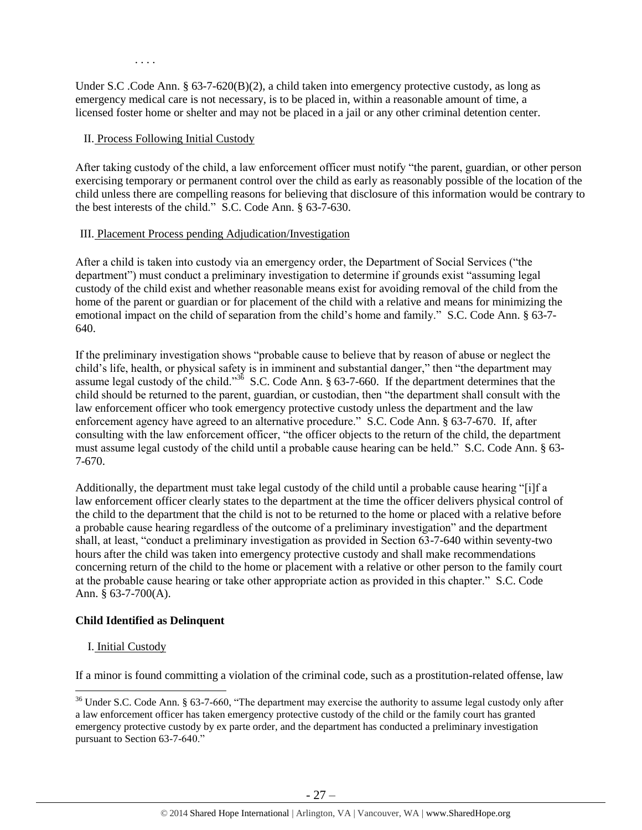Under S.C .Code Ann. § 63-7-620(B)(2), a child taken into emergency protective custody, as long as emergency medical care is not necessary, is to be placed in, within a reasonable amount of time, a licensed foster home or shelter and may not be placed in a jail or any other criminal detention center.

### II. Process Following Initial Custody

. . . .

After taking custody of the child, a law enforcement officer must notify "the parent, guardian, or other person exercising temporary or permanent control over the child as early as reasonably possible of the location of the child unless there are compelling reasons for believing that disclosure of this information would be contrary to the best interests of the child." S.C. Code Ann. § 63-7-630.

### III. Placement Process pending Adjudication/Investigation

After a child is taken into custody via an emergency order, the Department of Social Services ("the department") must conduct a preliminary investigation to determine if grounds exist "assuming legal custody of the child exist and whether reasonable means exist for avoiding removal of the child from the home of the parent or guardian or for placement of the child with a relative and means for minimizing the emotional impact on the child of separation from the child's home and family." S.C. Code Ann. § 63-7- 640.

If the preliminary investigation shows "probable cause to believe that by reason of abuse or neglect the child's life, health, or physical safety is in imminent and substantial danger," then "the department may assume legal custody of the child."<sup>36</sup> S.C. Code Ann. § 63-7-660. If the department determines that the child should be returned to the parent, guardian, or custodian, then "the department shall consult with the law enforcement officer who took emergency protective custody unless the department and the law enforcement agency have agreed to an alternative procedure." S.C. Code Ann. § 63-7-670. If, after consulting with the law enforcement officer, "the officer objects to the return of the child, the department must assume legal custody of the child until a probable cause hearing can be held." S.C. Code Ann. § 63- 7-670.

Additionally, the department must take legal custody of the child until a probable cause hearing "[i]f a law enforcement officer clearly states to the department at the time the officer delivers physical control of the child to the department that the child is not to be returned to the home or placed with a relative before a probable cause hearing regardless of the outcome of a preliminary investigation" and the department shall, at least, "conduct a preliminary investigation as provided in Section 63-7-640 within seventy-two hours after the child was taken into emergency protective custody and shall make recommendations concerning return of the child to the home or placement with a relative or other person to the family court at the probable cause hearing or take other appropriate action as provided in this chapter." S.C. Code Ann. § 63-7-700(A).

# **Child Identified as Delinquent**

# I. Initial Custody

 $\overline{\phantom{a}}$ 

If a minor is found committing a violation of the criminal code, such as a prostitution-related offense, law

<sup>&</sup>lt;sup>36</sup> Under S.C. Code Ann. § 63-7-660, "The department may exercise the authority to assume legal custody only after a law enforcement officer has taken emergency protective custody of the child or the family court has granted emergency protective custody by ex parte order, and the department has conducted a preliminary investigation pursuant to Section 63-7-640."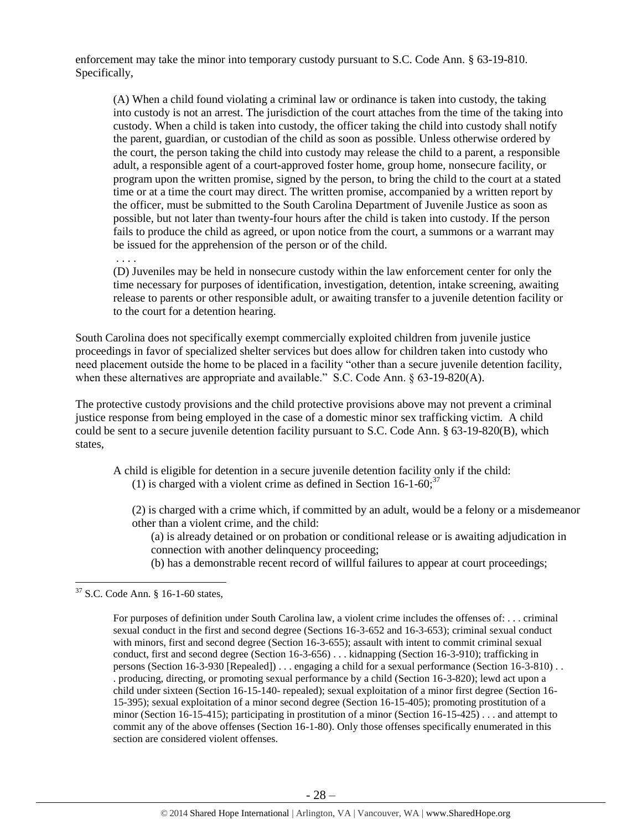enforcement may take the minor into temporary custody pursuant to S.C. Code Ann. § 63-19-810. Specifically,

(A) When a child found violating a criminal law or ordinance is taken into custody, the taking into custody is not an arrest. The jurisdiction of the court attaches from the time of the taking into custody. When a child is taken into custody, the officer taking the child into custody shall notify the parent, guardian, or custodian of the child as soon as possible. Unless otherwise ordered by the court, the person taking the child into custody may release the child to a parent, a responsible adult, a responsible agent of a court-approved foster home, group home, nonsecure facility, or program upon the written promise, signed by the person, to bring the child to the court at a stated time or at a time the court may direct. The written promise, accompanied by a written report by the officer, must be submitted to the South Carolina Department of Juvenile Justice as soon as possible, but not later than twenty-four hours after the child is taken into custody. If the person fails to produce the child as agreed, or upon notice from the court, a summons or a warrant may be issued for the apprehension of the person or of the child.

. . . .

(D) Juveniles may be held in nonsecure custody within the law enforcement center for only the time necessary for purposes of identification, investigation, detention, intake screening, awaiting release to parents or other responsible adult, or awaiting transfer to a juvenile detention facility or to the court for a detention hearing.

South Carolina does not specifically exempt commercially exploited children from juvenile justice proceedings in favor of specialized shelter services but does allow for children taken into custody who need placement outside the home to be placed in a facility "other than a secure juvenile detention facility, when these alternatives are appropriate and available." S.C. Code Ann. § 63-19-820(A).

The protective custody provisions and the child protective provisions above may not prevent a criminal justice response from being employed in the case of a domestic minor sex trafficking victim. A child could be sent to a secure juvenile detention facility pursuant to S.C. Code Ann. § 63-19-820(B), which states,

A child is eligible for detention in a secure juvenile detention facility only if the child: (1) is charged with a violent crime as defined in Section 16-1-60;  $37$ 

(2) is charged with a crime which, if committed by an adult, would be a felony or a misdemeanor other than a violent crime, and the child:

(a) is already detained or on probation or conditional release or is awaiting adjudication in connection with another delinquency proceeding;

(b) has a demonstrable recent record of willful failures to appear at court proceedings;

 $37$  S.C. Code Ann. § 16-1-60 states,

For purposes of definition under South Carolina law, a violent crime includes the offenses of: . . . criminal sexual conduct in the first and second degree (Sections 16-3-652 and 16-3-653); criminal sexual conduct with minors, first and second degree (Section 16-3-655); assault with intent to commit criminal sexual conduct, first and second degree (Section 16-3-656) . . . kidnapping (Section 16-3-910); trafficking in persons (Section 16-3-930 [Repealed]) . . . engaging a child for a sexual performance (Section 16-3-810) . . . producing, directing, or promoting sexual performance by a child (Section 16-3-820); lewd act upon a child under sixteen (Section 16-15-140- repealed); sexual exploitation of a minor first degree (Section 16- 15-395); sexual exploitation of a minor second degree (Section 16-15-405); promoting prostitution of a minor (Section 16-15-415); participating in prostitution of a minor (Section 16-15-425) . . . and attempt to commit any of the above offenses (Section 16-1-80). Only those offenses specifically enumerated in this section are considered violent offenses.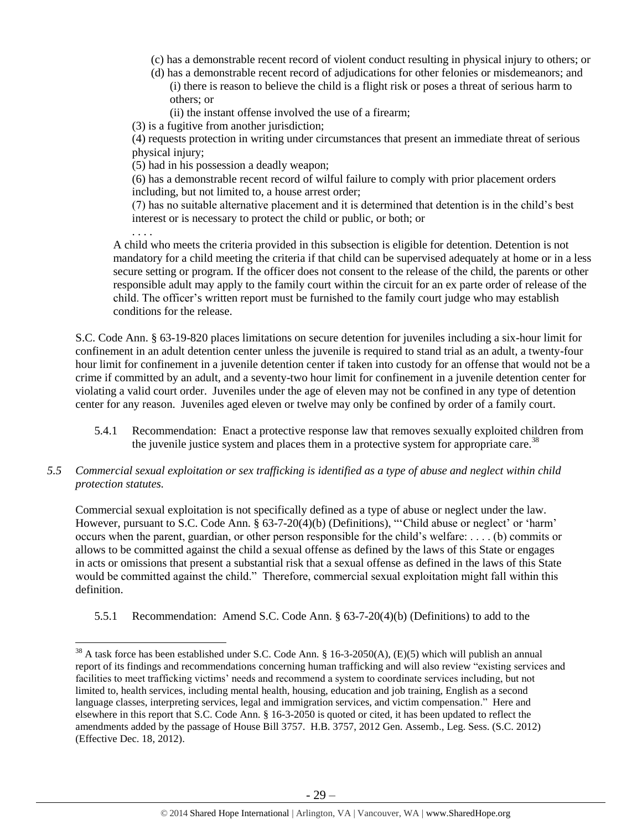- (c) has a demonstrable recent record of violent conduct resulting in physical injury to others; or
- (d) has a demonstrable recent record of adjudications for other felonies or misdemeanors; and (i) there is reason to believe the child is a flight risk or poses a threat of serious harm to others; or
	- (ii) the instant offense involved the use of a firearm;

(3) is a fugitive from another jurisdiction;

(4) requests protection in writing under circumstances that present an immediate threat of serious physical injury;

(5) had in his possession a deadly weapon;

(6) has a demonstrable recent record of wilful failure to comply with prior placement orders including, but not limited to, a house arrest order;

(7) has no suitable alternative placement and it is determined that detention is in the child's best interest or is necessary to protect the child or public, or both; or

. . . .

 $\overline{\phantom{a}}$ 

A child who meets the criteria provided in this subsection is eligible for detention. Detention is not mandatory for a child meeting the criteria if that child can be supervised adequately at home or in a less secure setting or program. If the officer does not consent to the release of the child, the parents or other responsible adult may apply to the family court within the circuit for an ex parte order of release of the child. The officer's written report must be furnished to the family court judge who may establish conditions for the release.

S.C. Code Ann. § 63-19-820 places limitations on secure detention for juveniles including a six-hour limit for confinement in an adult detention center unless the juvenile is required to stand trial as an adult, a twenty-four hour limit for confinement in a juvenile detention center if taken into custody for an offense that would not be a crime if committed by an adult, and a seventy-two hour limit for confinement in a juvenile detention center for violating a valid court order. Juveniles under the age of eleven may not be confined in any type of detention center for any reason. Juveniles aged eleven or twelve may only be confined by order of a family court.

- <span id="page-28-0"></span>5.4.1 Recommendation: Enact a protective response law that removes sexually exploited children from the juvenile justice system and places them in a protective system for appropriate care.<sup>38</sup>
- *5.5 Commercial sexual exploitation or sex trafficking is identified as a type of abuse and neglect within child protection statutes.*

Commercial sexual exploitation is not specifically defined as a type of abuse or neglect under the law. However, pursuant to S.C. Code Ann. § 63-7-20(4)(b) (Definitions), "'Child abuse or neglect' or 'harm' occurs when the parent, guardian, or other person responsible for the child's welfare: . . . . (b) commits or allows to be committed against the child a sexual offense as defined by the laws of this State or engages in acts or omissions that present a substantial risk that a sexual offense as defined in the laws of this State would be committed against the child." Therefore, commercial sexual exploitation might fall within this definition.

5.5.1 Recommendation: Amend S.C. Code Ann. § 63-7-20(4)(b) (Definitions) to add to the

<sup>&</sup>lt;sup>38</sup> A task force has been established under S.C. Code Ann. § 16-3-2050(A), (E)(5) which will publish an annual report of its findings and recommendations concerning human trafficking and will also review "existing services and facilities to meet trafficking victims' needs and recommend a system to coordinate services including, but not limited to, health services, including mental health, housing, education and job training, English as a second language classes, interpreting services, legal and immigration services, and victim compensation." Here and elsewhere in this report that S.C. Code Ann. § 16-3-2050 is quoted or cited, it has been updated to reflect the amendments added by the passage of House Bill 3757. H.B. 3757, 2012 Gen. Assemb., Leg. Sess. (S.C. 2012) (Effective Dec. 18, 2012).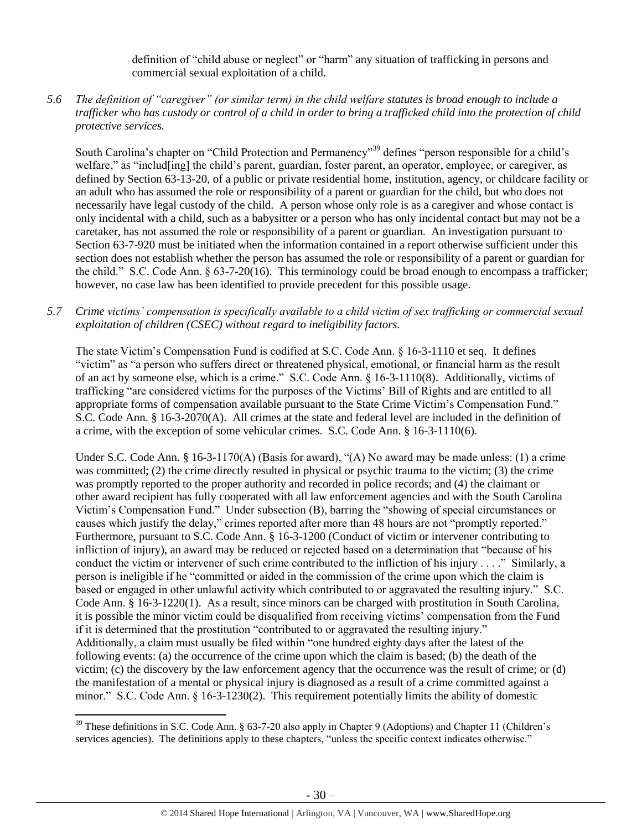definition of "child abuse or neglect" or "harm" any situation of trafficking in persons and commercial sexual exploitation of a child.

# *5.6 The definition of "caregiver" (or similar term) in the child welfare statutes is broad enough to include a trafficker who has custody or control of a child in order to bring a trafficked child into the protection of child protective services.*

South Carolina's chapter on "Child Protection and Permanency"<sup>39</sup> defines "person responsible for a child's welfare," as "includ[ing] the child's parent, guardian, foster parent, an operator, employee, or caregiver, as defined by Section 63-13-20, of a public or private residential home, institution, agency, or childcare facility or an adult who has assumed the role or responsibility of a parent or guardian for the child, but who does not necessarily have legal custody of the child. A person whose only role is as a caregiver and whose contact is only incidental with a child, such as a babysitter or a person who has only incidental contact but may not be a caretaker, has not assumed the role or responsibility of a parent or guardian. An investigation pursuant to Section 63-7-920 must be initiated when the information contained in a report otherwise sufficient under this section does not establish whether the person has assumed the role or responsibility of a parent or guardian for the child." S.C. Code Ann. § 63-7-20(16). This terminology could be broad enough to encompass a trafficker; however, no case law has been identified to provide precedent for this possible usage.

# *5.7 Crime victims' compensation is specifically available to a child victim of sex trafficking or commercial sexual exploitation of children (CSEC) without regard to ineligibility factors.*

The state Victim's Compensation Fund is codified at S.C. Code Ann. § 16-3-1110 et seq. It defines "victim" as "a person who suffers direct or threatened physical, emotional, or financial harm as the result of an act by someone else, which is a crime." S.C. Code Ann. § 16-3-1110(8). Additionally, victims of trafficking "are considered victims for the purposes of the Victims' Bill of Rights and are entitled to all appropriate forms of compensation available pursuant to the State Crime Victim's Compensation Fund." S.C. Code Ann. § 16-3-2070(A). All crimes at the state and federal level are included in the definition of a crime, with the exception of some vehicular crimes. S.C. Code Ann. § 16-3-1110(6).

Under S.C. Code Ann. § 16-3-1170(A) (Basis for award), "(A) No award may be made unless: (1) a crime was committed; (2) the crime directly resulted in physical or psychic trauma to the victim; (3) the crime was promptly reported to the proper authority and recorded in police records; and (4) the claimant or other award recipient has fully cooperated with all law enforcement agencies and with the South Carolina Victim's Compensation Fund." Under subsection (B), barring the "showing of special circumstances or causes which justify the delay," crimes reported after more than 48 hours are not "promptly reported." Furthermore, pursuant to S.C. Code Ann. § 16-3-1200 (Conduct of victim or intervener contributing to infliction of injury), an award may be reduced or rejected based on a determination that "because of his conduct the victim or intervener of such crime contributed to the infliction of his injury . . . ." Similarly, a person is ineligible if he "committed or aided in the commission of the crime upon which the claim is based or engaged in other unlawful activity which contributed to or aggravated the resulting injury." S.C. Code Ann. § 16-3-1220(1). As a result, since minors can be charged with prostitution in South Carolina, it is possible the minor victim could be disqualified from receiving victims' compensation from the Fund if it is determined that the prostitution "contributed to or aggravated the resulting injury." Additionally, a claim must usually be filed within "one hundred eighty days after the latest of the following events: (a) the occurrence of the crime upon which the claim is based; (b) the death of the victim; (c) the discovery by the law enforcement agency that the occurrence was the result of crime; or (d) the manifestation of a mental or physical injury is diagnosed as a result of a crime committed against a minor." S.C. Code Ann. § 16-3-1230(2). This requirement potentially limits the ability of domestic

<sup>&</sup>lt;sup>39</sup> These definitions in S.C. Code Ann. § 63-7-20 also apply in Chapter 9 (Adoptions) and Chapter 11 (Children's services agencies). The definitions apply to these chapters, "unless the specific context indicates otherwise."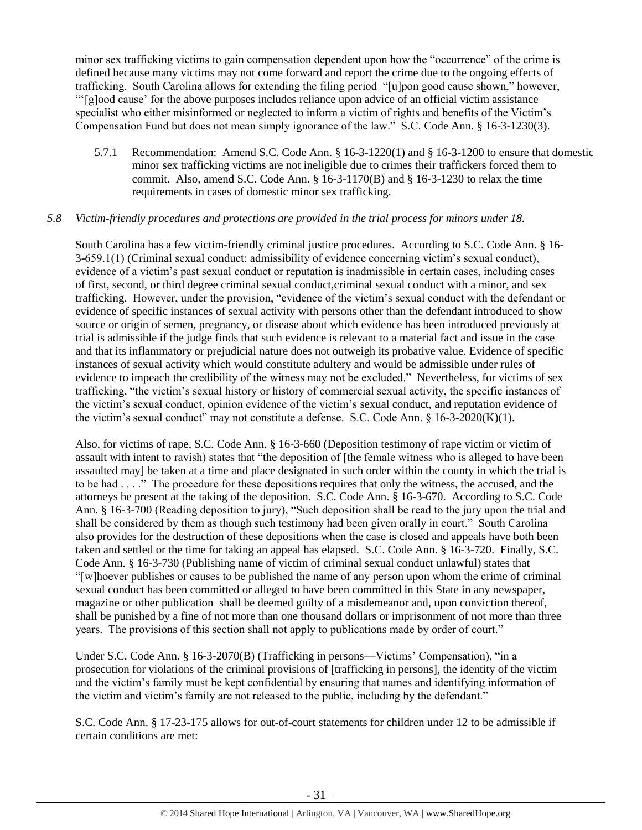minor sex trafficking victims to gain compensation dependent upon how the "occurrence" of the crime is defined because many victims may not come forward and report the crime due to the ongoing effects of trafficking. South Carolina allows for extending the filing period "[u]pon good cause shown," however, "'[g]ood cause' for the above purposes includes reliance upon advice of an official victim assistance specialist who either misinformed or neglected to inform a victim of rights and benefits of the Victim's Compensation Fund but does not mean simply ignorance of the law." S.C. Code Ann. § 16-3-1230(3).

5.7.1 Recommendation: Amend S.C. Code Ann. § 16-3-1220(1) and § 16-3-1200 to ensure that domestic minor sex trafficking victims are not ineligible due to crimes their traffickers forced them to commit. Also, amend S.C. Code Ann.  $\S$  16-3-1170(B) and  $\S$  16-3-1230 to relax the time requirements in cases of domestic minor sex trafficking.

# *5.8 Victim-friendly procedures and protections are provided in the trial process for minors under 18.*

South Carolina has a few victim-friendly criminal justice procedures. According to S.C. Code Ann. § 16- 3-659.1(1) (Criminal sexual conduct: admissibility of evidence concerning victim's sexual conduct), evidence of a victim's past sexual conduct or reputation is inadmissible in certain cases, including cases of first, second, or third degree criminal sexual conduct,criminal sexual conduct with a minor, and sex trafficking. However, under the provision, "evidence of the victim's sexual conduct with the defendant or evidence of specific instances of sexual activity with persons other than the defendant introduced to show source or origin of semen, pregnancy, or disease about which evidence has been introduced previously at trial is admissible if the judge finds that such evidence is relevant to a material fact and issue in the case and that its inflammatory or prejudicial nature does not outweigh its probative value. Evidence of specific instances of sexual activity which would constitute adultery and would be admissible under rules of evidence to impeach the credibility of the witness may not be excluded." Nevertheless, for victims of sex trafficking, "the victim's sexual history or history of commercial sexual activity, the specific instances of the victim's sexual conduct, opinion evidence of the victim's sexual conduct, and reputation evidence of the victim's sexual conduct" may not constitute a defense. S.C. Code Ann. § 16-3-2020(K)(1).

Also, for victims of rape, S.C. Code Ann. § 16-3-660 (Deposition testimony of rape victim or victim of assault with intent to ravish) states that "the deposition of [the female witness who is alleged to have been assaulted may] be taken at a time and place designated in such order within the county in which the trial is to be had . . . ." The procedure for these depositions requires that only the witness, the accused, and the attorneys be present at the taking of the deposition. S.C. Code Ann. § 16-3-670. According to S.C. Code Ann. § 16-3-700 (Reading deposition to jury), "Such deposition shall be read to the jury upon the trial and shall be considered by them as though such testimony had been given orally in court." South Carolina also provides for the destruction of these depositions when the case is closed and appeals have both been taken and settled or the time for taking an appeal has elapsed. S.C. Code Ann. § 16-3-720. Finally, S.C. Code Ann. § 16-3-730 (Publishing name of victim of criminal sexual conduct unlawful) states that "[w]hoever publishes or causes to be published the name of any person upon whom the crime of criminal sexual conduct has been committed or alleged to have been committed in this State in any newspaper, magazine or other publication shall be deemed guilty of a misdemeanor and, upon conviction thereof, shall be punished by a fine of not more than one thousand dollars or imprisonment of not more than three years. The provisions of this section shall not apply to publications made by order of court."

Under S.C. Code Ann. § 16-3-2070(B) (Trafficking in persons—Victims' Compensation), "in a prosecution for violations of the criminal provisions of [trafficking in persons], the identity of the victim and the victim's family must be kept confidential by ensuring that names and identifying information of the victim and victim's family are not released to the public, including by the defendant."

S.C. Code Ann. § 17-23-175 allows for out-of-court statements for children under 12 to be admissible if certain conditions are met: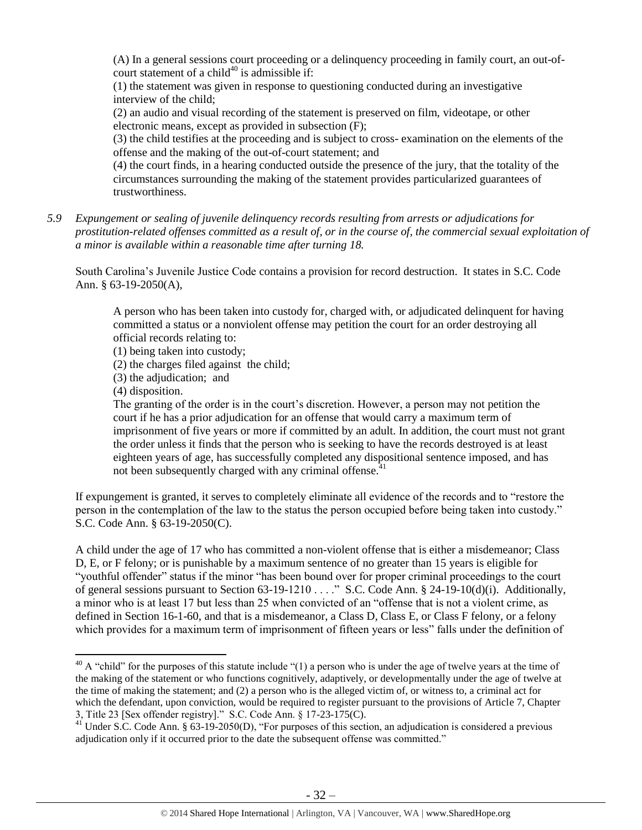(A) In a general sessions court proceeding or a delinquency proceeding in family court, an out-ofcourt statement of a child<sup>40</sup> is admissible if:

(1) the statement was given in response to questioning conducted during an investigative interview of the child;

(2) an audio and visual recording of the statement is preserved on film, videotape, or other electronic means, except as provided in subsection (F);

(3) the child testifies at the proceeding and is subject to cross- examination on the elements of the offense and the making of the out-of-court statement; and

(4) the court finds, in a hearing conducted outside the presence of the jury, that the totality of the circumstances surrounding the making of the statement provides particularized guarantees of trustworthiness.

*5.9 Expungement or sealing of juvenile delinquency records resulting from arrests or adjudications for prostitution-related offenses committed as a result of, or in the course of, the commercial sexual exploitation of a minor is available within a reasonable time after turning 18.*

South Carolina's Juvenile Justice Code contains a provision for record destruction. It states in S.C. Code Ann. § 63-19-2050(A),

A person who has been taken into custody for, charged with, or adjudicated delinquent for having committed a status or a nonviolent offense may petition the court for an order destroying all official records relating to:

(1) being taken into custody;

(2) the charges filed against the child;

(3) the adjudication; and

(4) disposition.

 $\overline{\phantom{a}}$ 

The granting of the order is in the court's discretion. However, a person may not petition the court if he has a prior adjudication for an offense that would carry a maximum term of imprisonment of five years or more if committed by an adult. In addition, the court must not grant the order unless it finds that the person who is seeking to have the records destroyed is at least eighteen years of age, has successfully completed any dispositional sentence imposed, and has not been subsequently charged with any criminal offense. $41$ 

If expungement is granted, it serves to completely eliminate all evidence of the records and to "restore the person in the contemplation of the law to the status the person occupied before being taken into custody." S.C. Code Ann. § 63-19-2050(C).

A child under the age of 17 who has committed a non-violent offense that is either a misdemeanor; Class D, E, or F felony; or is punishable by a maximum sentence of no greater than 15 years is eligible for "youthful offender" status if the minor "has been bound over for proper criminal proceedings to the court of general sessions pursuant to Section 63-19-1210 . . . ." S.C. Code Ann. § 24-19-10(d)(i). Additionally, a minor who is at least 17 but less than 25 when convicted of an "offense that is not a violent crime, as defined in Section 16-1-60, and that is a misdemeanor, a Class D, Class E, or Class F felony, or a felony which provides for a maximum term of imprisonment of fifteen years or less" falls under the definition of

 $40$  A "child" for the purposes of this statute include "(1) a person who is under the age of twelve years at the time of the making of the statement or who functions cognitively, adaptively, or developmentally under the age of twelve at the time of making the statement; and (2) a person who is the alleged victim of, or witness to, a criminal act for which the defendant, upon conviction, would be required to register pursuant to the provisions of Article 7, Chapter 3, Title 23 [Sex offender registry]." S.C. Code Ann. § 17-23-175(C).

 $41$  Under S.C. Code Ann. § 63-19-2050(D), "For purposes of this section, an adjudication is considered a previous adjudication only if it occurred prior to the date the subsequent offense was committed."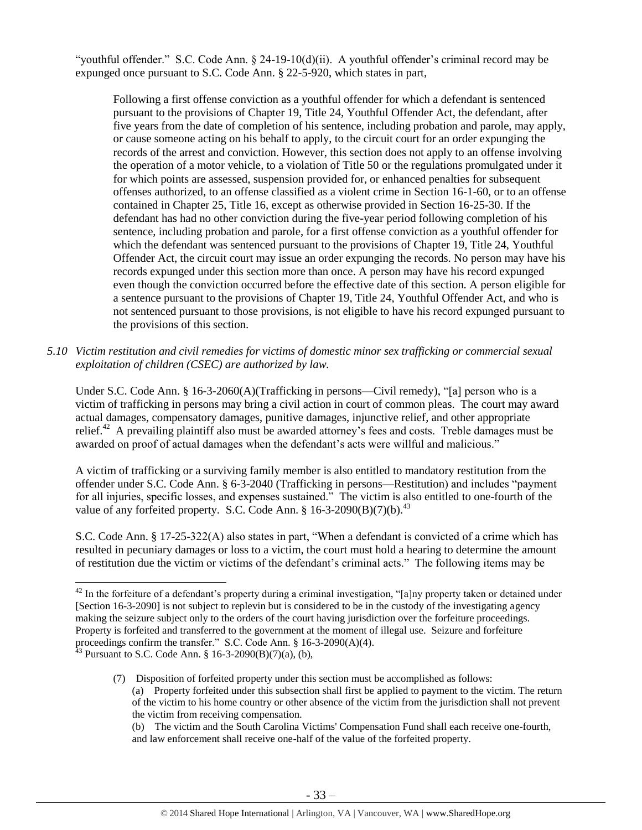"youthful offender." S.C. Code Ann. § 24-19-10(d)(ii). A youthful offender's criminal record may be expunged once pursuant to S.C. Code Ann. § 22-5-920, which states in part,

Following a first offense conviction as a youthful offender for which a defendant is sentenced pursuant to the provisions of Chapter 19, Title 24, Youthful Offender Act, the defendant, after five years from the date of completion of his sentence, including probation and parole, may apply, or cause someone acting on his behalf to apply, to the circuit court for an order expunging the records of the arrest and conviction. However, this section does not apply to an offense involving the operation of a motor vehicle, to a violation of Title 50 or the regulations promulgated under it for which points are assessed, suspension provided for, or enhanced penalties for subsequent offenses authorized, to an offense classified as a violent crime in Section 16-1-60, or to an offense contained in Chapter 25, Title 16, except as otherwise provided in Section 16-25-30. If the defendant has had no other conviction during the five-year period following completion of his sentence, including probation and parole, for a first offense conviction as a youthful offender for which the defendant was sentenced pursuant to the provisions of Chapter 19, Title 24, Youthful Offender Act, the circuit court may issue an order expunging the records. No person may have his records expunged under this section more than once. A person may have his record expunged even though the conviction occurred before the effective date of this section. A person eligible for a sentence pursuant to the provisions of Chapter 19, Title 24, Youthful Offender Act, and who is not sentenced pursuant to those provisions, is not eligible to have his record expunged pursuant to the provisions of this section.

*5.10 Victim restitution and civil remedies for victims of domestic minor sex trafficking or commercial sexual exploitation of children (CSEC) are authorized by law.* 

Under S.C. Code Ann. § 16-3-2060(A)(Trafficking in persons—Civil remedy), "[a] person who is a victim of trafficking in persons may bring a civil action in court of common pleas. The court may award actual damages, compensatory damages, punitive damages, injunctive relief, and other appropriate relief.<sup>42</sup> A prevailing plaintiff also must be awarded attorney's fees and costs. Treble damages must be awarded on proof of actual damages when the defendant's acts were willful and malicious."

A victim of trafficking or a surviving family member is also entitled to mandatory restitution from the offender under S.C. Code Ann. § 6-3-2040 (Trafficking in persons—Restitution) and includes "payment for all injuries, specific losses, and expenses sustained." The victim is also entitled to one-fourth of the value of any forfeited property. S.C. Code Ann.  $\S$  16-3-2090(B)(7)(b).<sup>43</sup>

S.C. Code Ann. § 17-25-322(A) also states in part, "When a defendant is convicted of a crime which has resulted in pecuniary damages or loss to a victim, the court must hold a hearing to determine the amount of restitution due the victim or victims of the defendant's criminal acts." The following items may be

 $42$  In the forfeiture of a defendant's property during a criminal investigation, "[a]ny property taken or detained under [Section 16-3-2090] is not subject to replevin but is considered to be in the custody of the investigating agency making the seizure subject only to the orders of the court having jurisdiction over the forfeiture proceedings. Property is forfeited and transferred to the government at the moment of illegal use. Seizure and forfeiture proceedings confirm the transfer." S.C. Code Ann. § 16-3-2090(A)(4).

<sup>&</sup>lt;sup>43</sup> Pursuant to S.C. Code Ann. § 16-3-2090(B)(7)(a), (b),

<sup>(7)</sup> Disposition of forfeited property under this section must be accomplished as follows: (a) Property forfeited under this subsection shall first be applied to payment to the victim. The return of the victim to his home country or other absence of the victim from the jurisdiction shall not prevent the victim from receiving compensation.

<sup>(</sup>b) The victim and the South Carolina Victims' Compensation Fund shall each receive one-fourth, and law enforcement shall receive one-half of the value of the forfeited property.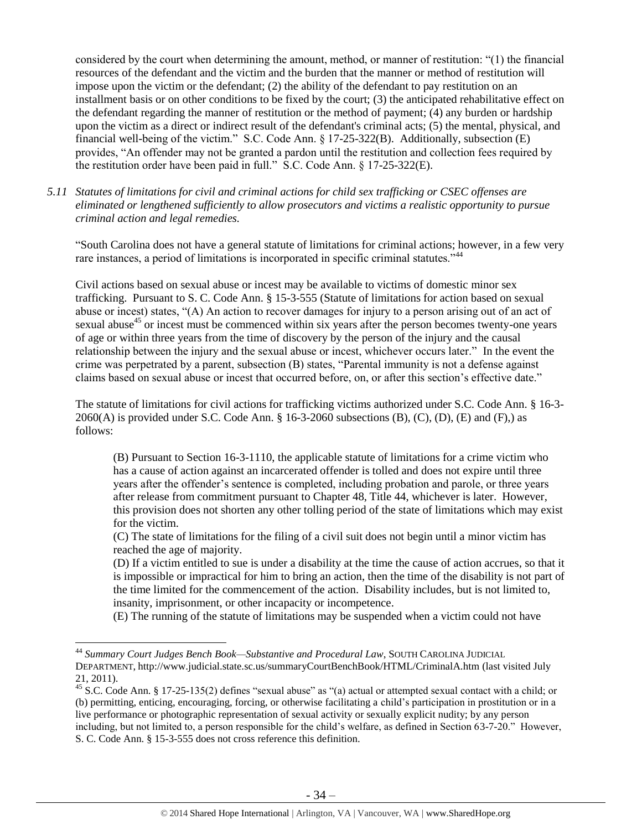considered by the court when determining the amount, method, or manner of restitution: "(1) the financial resources of the defendant and the victim and the burden that the manner or method of restitution will impose upon the victim or the defendant; (2) the ability of the defendant to pay restitution on an installment basis or on other conditions to be fixed by the court; (3) the anticipated rehabilitative effect on the defendant regarding the manner of restitution or the method of payment; (4) any burden or hardship upon the victim as a direct or indirect result of the defendant's criminal acts; (5) the mental, physical, and financial well-being of the victim." S.C. Code Ann. § 17-25-322(B). Additionally, subsection (E) provides, "An offender may not be granted a pardon until the restitution and collection fees required by the restitution order have been paid in full." S.C. Code Ann. § 17-25-322(E).

*5.11 Statutes of limitations for civil and criminal actions for child sex trafficking or CSEC offenses are eliminated or lengthened sufficiently to allow prosecutors and victims a realistic opportunity to pursue criminal action and legal remedies.* 

"South Carolina does not have a general statute of limitations for criminal actions; however, in a few very rare instances, a period of limitations is incorporated in specific criminal statutes."<sup>44</sup>

Civil actions based on sexual abuse or incest may be available to victims of domestic minor sex trafficking. Pursuant to S. C. Code Ann. § 15-3-555 (Statute of limitations for action based on sexual abuse or incest) states, "(A) An action to recover damages for injury to a person arising out of an act of sexual abuse<sup>45</sup> or incest must be commenced within six years after the person becomes twenty-one years of age or within three years from the time of discovery by the person of the injury and the causal relationship between the injury and the sexual abuse or incest, whichever occurs later." In the event the crime was perpetrated by a parent, subsection (B) states, "Parental immunity is not a defense against claims based on sexual abuse or incest that occurred before, on, or after this section's effective date."

The statute of limitations for civil actions for trafficking victims authorized under S.C. Code Ann. § 16-3-  $2060(A)$  is provided under S.C. Code Ann. § 16-3-2060 subsections  $(B)$ ,  $(C)$ ,  $(D)$ ,  $(E)$  and  $(F)$ ,) as follows:

(B) Pursuant to Section 16-3-1110, the applicable statute of limitations for a crime victim who has a cause of action against an incarcerated offender is tolled and does not expire until three years after the offender's sentence is completed, including probation and parole, or three years after release from commitment pursuant to Chapter 48, Title 44, whichever is later. However, this provision does not shorten any other tolling period of the state of limitations which may exist for the victim.

(C) The state of limitations for the filing of a civil suit does not begin until a minor victim has reached the age of majority.

(D) If a victim entitled to sue is under a disability at the time the cause of action accrues, so that it is impossible or impractical for him to bring an action, then the time of the disability is not part of the time limited for the commencement of the action. Disability includes, but is not limited to, insanity, imprisonment, or other incapacity or incompetence.

(E) The running of the statute of limitations may be suspended when a victim could not have

<sup>44</sup> *Summary Court Judges Bench Book—Substantive and Procedural Law*, SOUTH CAROLINA JUDICIAL DEPARTMENT, http://www.judicial.state.sc.us/summaryCourtBenchBook/HTML/CriminalA.htm (last visited July 21, 2011).

<sup>45</sup> S.C. Code Ann. § 17-25-135(2) defines "sexual abuse" as "(a) actual or attempted sexual contact with a child; or (b) permitting, enticing, encouraging, forcing, or otherwise facilitating a child's participation in prostitution or in a live performance or photographic representation of sexual activity or sexually explicit nudity; by any person including, but not limited to, a person responsible for the child's welfare, as defined in Section 63-7-20." However, S. C. Code Ann. § 15-3-555 does not cross reference this definition.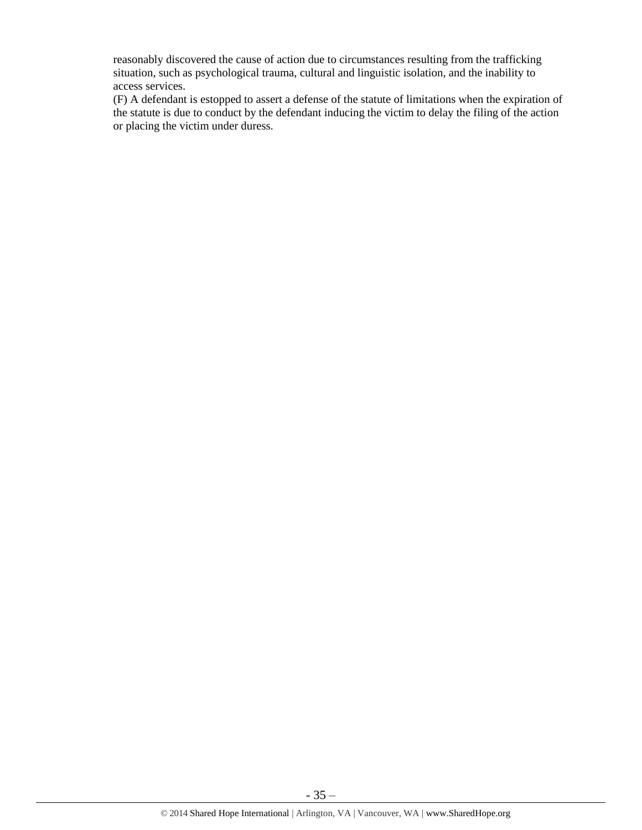reasonably discovered the cause of action due to circumstances resulting from the trafficking situation, such as psychological trauma, cultural and linguistic isolation, and the inability to access services.

(F) A defendant is estopped to assert a defense of the statute of limitations when the expiration of the statute is due to conduct by the defendant inducing the victim to delay the filing of the action or placing the victim under duress.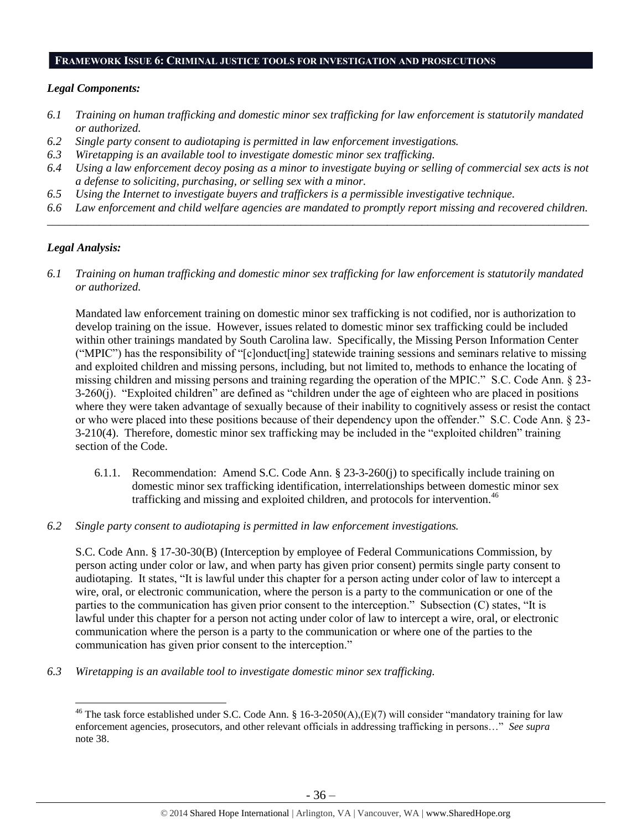#### **FRAMEWORK ISSUE 6: CRIMINAL JUSTICE TOOLS FOR INVESTIGATION AND PROSECUTIONS**

# *Legal Components:*

- *6.1 Training on human trafficking and domestic minor sex trafficking for law enforcement is statutorily mandated or authorized.*
- *6.2 Single party consent to audiotaping is permitted in law enforcement investigations.*
- *6.3 Wiretapping is an available tool to investigate domestic minor sex trafficking.*
- *6.4 Using a law enforcement decoy posing as a minor to investigate buying or selling of commercial sex acts is not a defense to soliciting, purchasing, or selling sex with a minor.*
- *6.5 Using the Internet to investigate buyers and traffickers is a permissible investigative technique.*
- *6.6 Law enforcement and child welfare agencies are mandated to promptly report missing and recovered children. \_\_\_\_\_\_\_\_\_\_\_\_\_\_\_\_\_\_\_\_\_\_\_\_\_\_\_\_\_\_\_\_\_\_\_\_\_\_\_\_\_\_\_\_\_\_\_\_\_\_\_\_\_\_\_\_\_\_\_\_\_\_\_\_\_\_\_\_\_\_\_\_\_\_\_\_\_\_\_\_\_\_\_\_\_\_\_\_\_\_\_\_\_\_*

# *Legal Analysis:*

 $\overline{a}$ 

*6.1 Training on human trafficking and domestic minor sex trafficking for law enforcement is statutorily mandated or authorized.*

Mandated law enforcement training on domestic minor sex trafficking is not codified, nor is authorization to develop training on the issue. However, issues related to domestic minor sex trafficking could be included within other trainings mandated by South Carolina law. Specifically, the Missing Person Information Center ("MPIC") has the responsibility of "[c]onduct[ing] statewide training sessions and seminars relative to missing and exploited children and missing persons, including, but not limited to, methods to enhance the locating of missing children and missing persons and training regarding the operation of the MPIC." S.C. Code Ann. § 23- 3-260(j). "Exploited children" are defined as "children under the age of eighteen who are placed in positions where they were taken advantage of sexually because of their inability to cognitively assess or resist the contact or who were placed into these positions because of their dependency upon the offender." S.C. Code Ann. § 23- 3-210(4). Therefore, domestic minor sex trafficking may be included in the "exploited children" training section of the Code.

- 6.1.1. Recommendation: Amend S.C. Code Ann. § 23-3-260(j) to specifically include training on domestic minor sex trafficking identification, interrelationships between domestic minor sex trafficking and missing and exploited children, and protocols for intervention.<sup>46</sup>
- *6.2 Single party consent to audiotaping is permitted in law enforcement investigations.*

S.C. Code Ann. § 17-30-30(B) (Interception by employee of Federal Communications Commission, by person acting under color or law, and when party has given prior consent) permits single party consent to audiotaping. It states, "It is lawful under this chapter for a person acting under color of law to intercept a wire, oral, or electronic communication, where the person is a party to the communication or one of the parties to the communication has given prior consent to the interception." Subsection (C) states, "It is lawful under this chapter for a person not acting under color of law to intercept a wire, oral, or electronic communication where the person is a party to the communication or where one of the parties to the communication has given prior consent to the interception."

*6.3 Wiretapping is an available tool to investigate domestic minor sex trafficking.* 

<sup>&</sup>lt;sup>46</sup> The task force established under S.C. Code Ann. § 16-3-2050(A),(E)(7) will consider "mandatory training for law enforcement agencies, prosecutors, and other relevant officials in addressing trafficking in persons…" *See supra* note [38.](#page-28-0)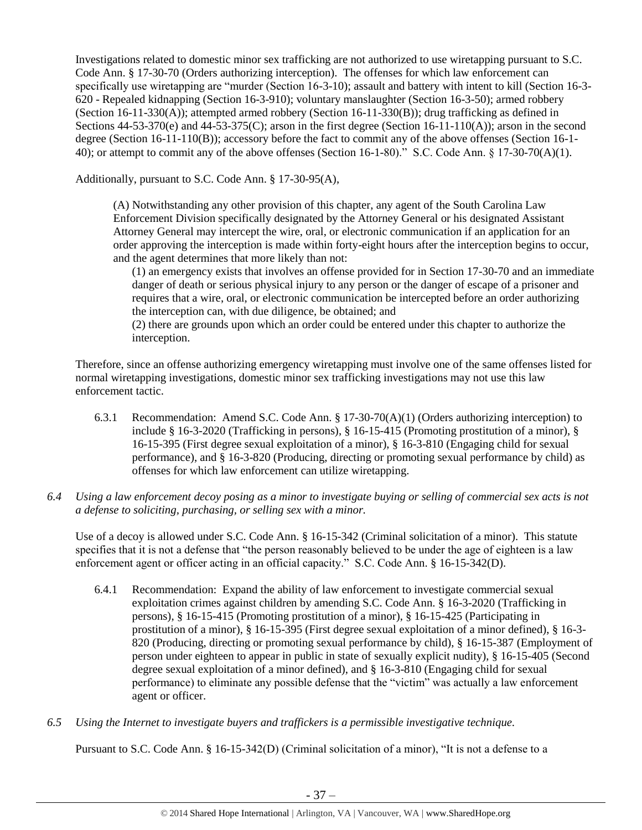Investigations related to domestic minor sex trafficking are not authorized to use wiretapping pursuant to S.C. Code Ann. § 17-30-70 (Orders authorizing interception). The offenses for which law enforcement can specifically use wiretapping are "murder (Section 16-3-10); assault and battery with intent to kill (Section 16-3- 620 - Repealed kidnapping (Section 16-3-910); voluntary manslaughter (Section 16-3-50); armed robbery (Section 16-11-330(A)); attempted armed robbery (Section 16-11-330(B)); drug trafficking as defined in Sections  $44-53-370(e)$  and  $44-53-375(C)$ ; arson in the first degree (Section 16-11-110(A)); arson in the second degree (Section 16-11-110(B)); accessory before the fact to commit any of the above offenses (Section 16-1- 40); or attempt to commit any of the above offenses (Section 16-1-80)." S.C. Code Ann. § 17-30-70(A)(1).

Additionally, pursuant to S.C. Code Ann. § 17-30-95(A),

(A) Notwithstanding any other provision of this chapter, any agent of the South Carolina Law Enforcement Division specifically designated by the Attorney General or his designated Assistant Attorney General may intercept the wire, oral, or electronic communication if an application for an order approving the interception is made within forty-eight hours after the interception begins to occur, and the agent determines that more likely than not:

(1) an emergency exists that involves an offense provided for in Section 17-30-70 and an immediate danger of death or serious physical injury to any person or the danger of escape of a prisoner and requires that a wire, oral, or electronic communication be intercepted before an order authorizing the interception can, with due diligence, be obtained; and

(2) there are grounds upon which an order could be entered under this chapter to authorize the interception.

Therefore, since an offense authorizing emergency wiretapping must involve one of the same offenses listed for normal wiretapping investigations, domestic minor sex trafficking investigations may not use this law enforcement tactic.

- 6.3.1 Recommendation: Amend S.C. Code Ann. § 17-30-70(A)(1) (Orders authorizing interception) to include § 16-3-2020 (Trafficking in persons), § 16-15-415 (Promoting prostitution of a minor), § 16-15-395 (First degree sexual exploitation of a minor), § 16-3-810 (Engaging child for sexual performance), and § 16-3-820 (Producing, directing or promoting sexual performance by child) as offenses for which law enforcement can utilize wiretapping.
- *6.4 Using a law enforcement decoy posing as a minor to investigate buying or selling of commercial sex acts is not a defense to soliciting, purchasing, or selling sex with a minor.*

Use of a decoy is allowed under S.C. Code Ann. § 16-15-342 (Criminal solicitation of a minor). This statute specifies that it is not a defense that "the person reasonably believed to be under the age of eighteen is a law enforcement agent or officer acting in an official capacity." S.C. Code Ann. § 16-15-342(D).

- 6.4.1 Recommendation: Expand the ability of law enforcement to investigate commercial sexual exploitation crimes against children by amending S.C. Code Ann. § 16-3-2020 (Trafficking in persons), § 16-15-415 (Promoting prostitution of a minor), § 16-15-425 (Participating in prostitution of a minor), § 16-15-395 (First degree sexual exploitation of a minor defined), § 16-3- 820 (Producing, directing or promoting sexual performance by child), § 16-15-387 (Employment of person under eighteen to appear in public in state of sexually explicit nudity), § 16-15-405 (Second degree sexual exploitation of a minor defined), and § 16-3-810 (Engaging child for sexual performance) to eliminate any possible defense that the "victim" was actually a law enforcement agent or officer.
- *6.5 Using the Internet to investigate buyers and traffickers is a permissible investigative technique.*

Pursuant to S.C. Code Ann. § 16-15-342(D) (Criminal solicitation of a minor), "It is not a defense to a